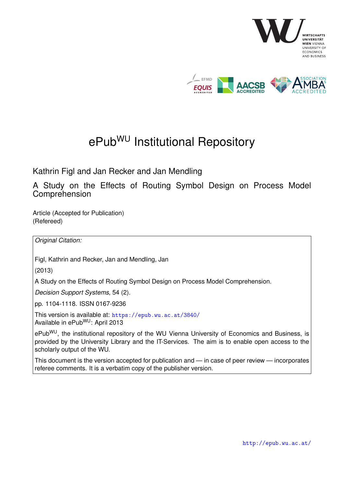

# ePub<sup>WU</sup> Institutional Repository

Kathrin Figl and Jan Recker and Jan Mendling

A Study on the Effects of Routing Symbol Design on Process Model Comprehension

Article (Accepted for Publication) (Refereed)

*Original Citation:*

Figl, Kathrin and Recker, Jan and Mendling, Jan

(2013)

A Study on the Effects of Routing Symbol Design on Process Model Comprehension.

*Decision Support Systems*, 54 (2).

pp. 1104-1118. ISSN 0167-9236

This version is available at: <https://epub.wu.ac.at/3840/> Available in ePubWU: April 2013

ePub<sup>WU</sup>, the institutional repository of the WU Vienna University of Economics and Business, is provided by the University Library and the IT-Services. The aim is to enable open access to the scholarly output of the WU.

This document is the version accepted for publication and — in case of peer review — incorporates referee comments. It is a verbatim copy of the publisher version.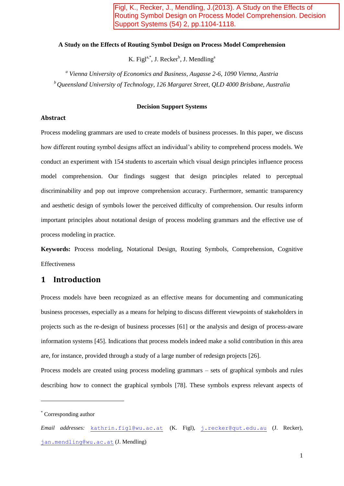Figl, K., Recker, J., Mendling, J.(2013). A Study on the Effects of Routing Symbol Design on Process Model Comprehension. Decision Support Systems (54) 2, pp.1104-1118.

#### **A Study on the Effects of Routing Symbol Design on Process Model Comprehension**

K. Figl<sup>a,\*</sup>, J. Recker<sup>b</sup>, J. Mendling<sup>a</sup>

*<sup>a</sup> Vienna University of Economics and Business, Augasse 2-6, 1090 Vienna, Austria <sup>b</sup>Queensland University of Technology, 126 Margaret Street, QLD 4000 Brisbane, Australia*

#### **Decision Support Systems**

#### **Abstract**

Process modeling grammars are used to create models of business processes. In this paper, we discuss how different routing symbol designs affect an individual's ability to comprehend process models. We conduct an experiment with 154 students to ascertain which visual design principles influence process model comprehension. Our findings suggest that design principles related to perceptual discriminability and pop out improve comprehension accuracy. Furthermore, semantic transparency and aesthetic design of symbols lower the perceived difficulty of comprehension. Our results inform important principles about notational design of process modeling grammars and the effective use of process modeling in practice.

**Keywords:** Process modeling, Notational Design, Routing Symbols, Comprehension, Cognitive Effectiveness

## **1 Introduction**

Process models have been recognized as an effective means for documenting and communicating business processes, especially as a means for helping to discuss different viewpoints of stakeholders in projects such as the re-design of business processes [\[61\]](#page-33-0) or the analysis and design of process-aware information systems [\[45\]](#page-32-0). Indications that process models indeed make a solid contribution in this area are, for instance, provided through a study of a large number of redesign projects [\[26\]](#page-31-0).

Process models are created using process modeling grammars – sets of graphical symbols and rules describing how to connect the graphical symbols [\[78\]](#page-34-0). These symbols express relevant aspects of

-

<sup>\*</sup> Corresponding author

*Email addresses:* [kathrin.figl@wu.ac.at](mailto:kathrin.figl@wu.ac.at) (K. Figl), [j.recker@qut.edu.au](mailto:j.recker@qut.edu.au) (J. Recker), [jan.mendling@wu.ac.at](mailto:jan.mendling@wu.ac.at) (J. Mendling)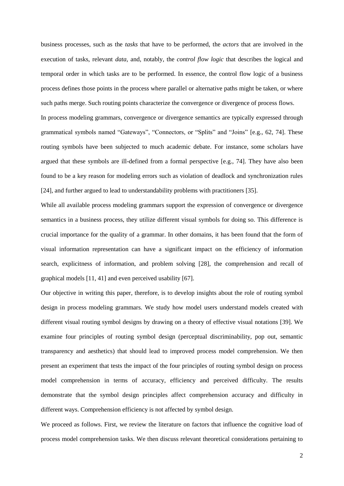business processes, such as the *tasks* that have to be performed, the *actors* that are involved in the execution of tasks, relevant *data*, and, notably, the *control flow logic* that describes the logical and temporal order in which tasks are to be performed. In essence, the control flow logic of a business process defines those points in the process where parallel or alternative paths might be taken, or where such paths merge. Such routing points characterize the convergence or divergence of process flows.

In process modeling grammars, convergence or divergence semantics are typically expressed through grammatical symbols named "Gateways", "Connectors, or "Splits" and "Joins" [e.g., [62,](#page-33-1) [74\]](#page-34-1). These routing symbols have been subjected to much academic debate. For instance, some scholars have argued that these symbols are ill-defined from a formal perspective [\[e.g., 74\]](#page-34-1). They have also been found to be a key reason for modeling errors such as violation of deadlock and synchronization rules [\[24\]](#page-31-1), and further argued to lead to understandability problems with practitioners [\[35\]](#page-32-1).

While all available process modeling grammars support the expression of convergence or divergence semantics in a business process, they utilize different visual symbols for doing so. This difference is crucial importance for the quality of a grammar. In other domains, it has been found that the form of visual information representation can have a significant impact on the efficiency of information search, explicitness of information, and problem solving [\[28\]](#page-31-2), the comprehension and recall of graphical models [\[11,](#page-30-0) [41\]](#page-32-2) and even perceived usability [\[67\]](#page-34-2).

Our objective in writing this paper, therefore, is to develop insights about the role of routing symbol design in process modeling grammars. We study how model users understand models created with different visual routing symbol designs by drawing on a theory of effective visual notations [\[39\]](#page-32-3). We examine four principles of routing symbol design (perceptual discriminability, pop out, semantic transparency and aesthetics) that should lead to improved process model comprehension. We then present an experiment that tests the impact of the four principles of routing symbol design on process model comprehension in terms of accuracy, efficiency and perceived difficulty. The results demonstrate that the symbol design principles affect comprehension accuracy and difficulty in different ways. Comprehension efficiency is not affected by symbol design.

We proceed as follows. First, we review the literature on factors that influence the cognitive load of process model comprehension tasks. We then discuss relevant theoretical considerations pertaining to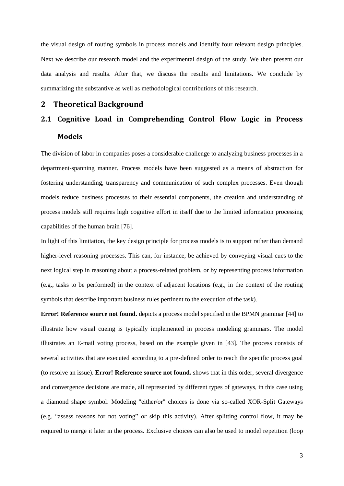the visual design of routing symbols in process models and identify four relevant design principles. Next we describe our research model and the experimental design of the study. We then present our data analysis and results. After that, we discuss the results and limitations. We conclude by summarizing the substantive as well as methodological contributions of this research.

## **2 Theoretical Background**

## **2.1 Cognitive Load in Comprehending Control Flow Logic in Process Models**

The division of labor in companies poses a considerable challenge to analyzing business processes in a department-spanning manner. Process models have been suggested as a means of abstraction for fostering understanding, transparency and communication of such complex processes. Even though models reduce business processes to their essential components, the creation and understanding of process models still requires high cognitive effort in itself due to the limited information processing capabilities of the human brain [\[76\]](#page-34-3).

In light of this limitation, the key design principle for process models is to support rather than demand higher-level reasoning processes. This can, for instance, be achieved by conveying visual cues to the next logical step in reasoning about a process-related problem, or by representing process information (e.g., tasks to be performed) in the context of adjacent locations (e.g., in the context of the routing symbols that describe important business rules pertinent to the execution of the task).

**Error! Reference source not found.** depicts a process model specified in the BPMN grammar [\[44\]](#page-32-4) to illustrate how visual cueing is typically implemented in process modeling grammars. The model illustrates an E-mail voting process, based on the example given in [\[43\]](#page-32-5). The process consists of several activities that are executed according to a pre-defined order to reach the specific process goal (to resolve an issue). **Error! Reference source not found.** shows that in this order, several divergence and convergence decisions are made, all represented by different types of gateways, in this case using a diamond shape symbol. Modeling "either/or" choices is done via so-called XOR-Split Gateways (e.g. "assess reasons for not voting" *or* skip this activity). After splitting control flow, it may be required to merge it later in the process. Exclusive choices can also be used to model repetition (loop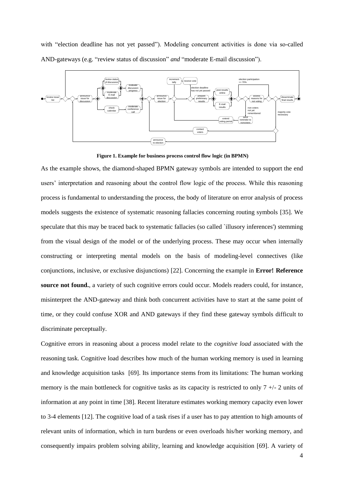with "election deadline has not yet passed"). Modeling concurrent activities is done via so-called AND-gateways (e.g. "review status of discussion" *and* "moderate E-mail discussion").



**Figure 1. Example for business process control flow logic (in BPMN)**

As the example shows, the diamond-shaped BPMN gateway symbols are intended to support the end users' interpretation and reasoning about the control flow logic of the process. While this reasoning process is fundamental to understanding the process, the body of literature on error analysis of process models suggests the existence of systematic reasoning fallacies concerning routing symbols [\[35\]](#page-32-1). We speculate that this may be traced back to systematic fallacies (so called `illusory inferences') stemming from the visual design of the model or of the underlying process. These may occur when internally constructing or interpreting mental models on the basis of modeling-level connectives (like conjunctions, inclusive, or exclusive disjunctions) [\[22\]](#page-31-3). Concerning the example in **Error! Reference source not found.**, a variety of such cognitive errors could occur. Models readers could, for instance, misinterpret the AND-gateway and think both concurrent activities have to start at the same point of time, or they could confuse XOR and AND gateways if they find these gateway symbols difficult to discriminate perceptually.

Cognitive errors in reasoning about a process model relate to the *cognitive load* associated with the reasoning task. Cognitive load describes how much of the human working memory is used in learning and knowledge acquisition tasks [\[69\]](#page-34-4). Its importance stems from its limitations: The human working memory is the main bottleneck for cognitive tasks as its capacity is restricted to only  $7 +1/2$  units of information at any point in time [\[38\]](#page-32-6). Recent literature estimates working memory capacity even lower to 3-4 elements [\[12\]](#page-30-1). The cognitive load of a task rises if a user has to pay attention to high amounts of relevant units of information, which in turn burdens or even overloads his/her working memory, and consequently impairs problem solving ability, learning and knowledge acquisition [\[69\]](#page-34-4). A variety of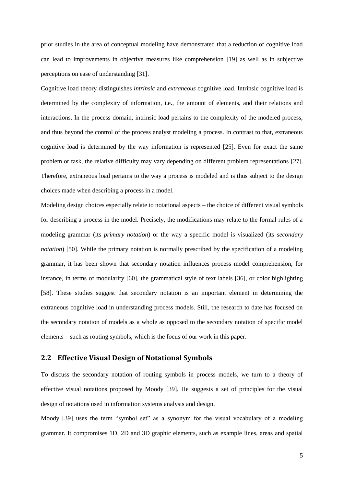prior studies in the area of conceptual modeling have demonstrated that a reduction of cognitive load can lead to improvements in objective measures like comprehension [\[19\]](#page-31-4) as well as in subjective perceptions on ease of understanding [\[31\]](#page-31-5).

Cognitive load theory distinguishes *intrinsic* and *extraneous* cognitive load. Intrinsic cognitive load is determined by the complexity of information, i.e., the amount of elements, and their relations and interactions. In the process domain, intrinsic load pertains to the complexity of the modeled process, and thus beyond the control of the process analyst modeling a process. In contrast to that, extraneous cognitive load is determined by the way information is represented [\[25\]](#page-31-6). Even for exact the same problem or task, the relative difficulty may vary depending on different problem representations [\[27\]](#page-31-7). Therefore, extraneous load pertains to the way a process is modeled and is thus subject to the design choices made when describing a process in a model.

Modeling design choices especially relate to notational aspects – the choice of different visual symbols for describing a process in the model. Precisely, the modifications may relate to the formal rules of a modeling grammar (its *primary notation*) or the way a specific model is visualized (its *secondary notation*) [\[50\]](#page-33-2). While the primary notation is normally prescribed by the specification of a modeling grammar, it has been shown that secondary notation influences process model comprehension, for instance, in terms of modularity [\[60\]](#page-33-3), the grammatical style of text labels [\[36\]](#page-32-7), or color highlighting [\[58\]](#page-33-4). These studies suggest that secondary notation is an important element in determining the extraneous cognitive load in understanding process models. Still, the research to date has focused on the secondary notation of models as a whole as opposed to the secondary notation of specific model elements – such as routing symbols, which is the focus of our work in this paper.

### **2.2 Effective Visual Design of Notational Symbols**

To discuss the secondary notation of routing symbols in process models, we turn to a theory of effective visual notations proposed by Moody [\[39\]](#page-32-3). He suggests a set of principles for the visual design of notations used in information systems analysis and design.

Moody [\[39\]](#page-32-3) uses the term "symbol set" as a synonym for the visual vocabulary of a modeling grammar. It compromises 1D, 2D and 3D graphic elements, such as example lines, areas and spatial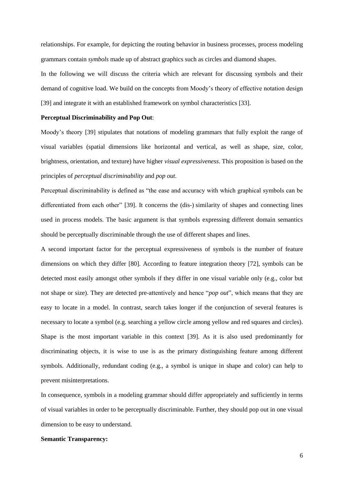relationships. For example, for depicting the routing behavior in business processes, process modeling grammars contain *symbols* made up of abstract graphics such as circles and diamond shapes.

In the following we will discuss the criteria which are relevant for discussing symbols and their demand of cognitive load. We build on the concepts from Moody's theory of effective notation design [\[39\]](#page-32-3) and integrate it with an established framework on symbol characteristics [\[33\]](#page-32-8).

#### **Perceptual Discriminability and Pop Out**:

Moody's theory [\[39\]](#page-32-3) stipulates that notations of modeling grammars that fully exploit the range of visual variables (spatial dimensions like horizontal and vertical, as well as shape, size, color, brightness, orientation, and texture) have higher *visual expressiveness*. This proposition is based on the principles of *perceptual discriminability* and *pop out*.

Perceptual discriminability is defined as "the ease and accuracy with which graphical symbols can be differentiated from each other" [\[39\]](#page-32-3). It concerns the (dis-) similarity of shapes and connecting lines used in process models. The basic argument is that symbols expressing different domain semantics should be perceptually discriminable through the use of different shapes and lines.

A second important factor for the perceptual expressiveness of symbols is the number of feature dimensions on which they differ [\[80\]](#page-34-5). According to feature integration theory [\[72\]](#page-34-6), symbols can be detected most easily amongst other symbols if they differ in one visual variable only (e.g., color but not shape or size). They are detected pre-attentively and hence "*pop out*", which means that they are easy to locate in a model. In contrast, search takes longer if the conjunction of several features is necessary to locate a symbol (e.g. searching a yellow circle among yellow and red squares and circles). Shape is the most important variable in this context [\[39\]](#page-32-3). As it is also used predominantly for discriminating objects, it is wise to use is as the primary distinguishing feature among different symbols. Additionally, redundant coding (e.g., a symbol is unique in shape and color) can help to prevent misinterpretations.

In consequence, symbols in a modeling grammar should differ appropriately and sufficiently in terms of visual variables in order to be perceptually discriminable. Further, they should pop out in one visual dimension to be easy to understand.

#### **Semantic Transparency:**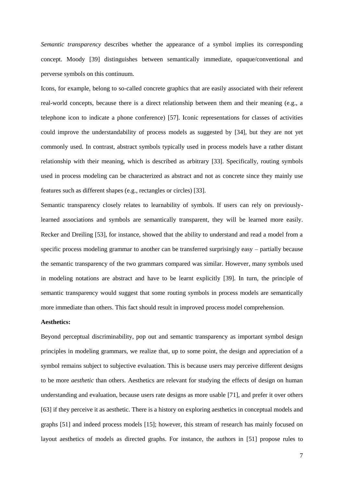*Semantic transparency* describes whether the appearance of a symbol implies its corresponding concept. Moody [\[39\]](#page-32-3) distinguishes between semantically immediate, opaque/conventional and perverse symbols on this continuum.

Icons, for example, belong to so-called concrete graphics that are easily associated with their referent real-world concepts, because there is a direct relationship between them and their meaning (e.g., a telephone icon to indicate a phone conference) [\[57\]](#page-33-5). Iconic representations for classes of activities could improve the understandability of process models as suggested by [\[34\]](#page-32-9), but they are not yet commonly used. In contrast, abstract symbols typically used in process models have a rather distant relationship with their meaning, which is described as arbitrary [\[33\]](#page-32-8). Specifically, routing symbols used in process modeling can be characterized as abstract and not as concrete since they mainly use features such as different shapes (e.g., rectangles or circles) [\[33\]](#page-32-8).

Semantic transparency closely relates to learnability of symbols. If users can rely on previouslylearned associations and symbols are semantically transparent, they will be learned more easily. Recker and Dreiling [\[53\]](#page-33-6), for instance, showed that the ability to understand and read a model from a specific process modeling grammar to another can be transferred surprisingly easy – partially because the semantic transparency of the two grammars compared was similar. However, many symbols used in modeling notations are abstract and have to be learnt explicitly [\[39\]](#page-32-3). In turn, the principle of semantic transparency would suggest that some routing symbols in process models are semantically more immediate than others. This fact should result in improved process model comprehension.

#### **Aesthetics:**

Beyond perceptual discriminability, pop out and semantic transparency as important symbol design principles in modeling grammars, we realize that, up to some point, the design and appreciation of a symbol remains subject to subjective evaluation. This is because users may perceive different designs to be more *aesthetic* than others. Aesthetics are relevant for studying the effects of design on human understanding and evaluation, because users rate designs as more usable [\[71\]](#page-34-7), and prefer it over others [\[63\]](#page-33-7) if they perceive it as aesthetic. There is a history on exploring aesthetics in conceptual models and graphs [\[51\]](#page-33-8) and indeed process models [\[15\]](#page-30-2); however, this stream of research has mainly focused on layout aesthetics of models as directed graphs. For instance, the authors in [\[51\]](#page-33-8) propose rules to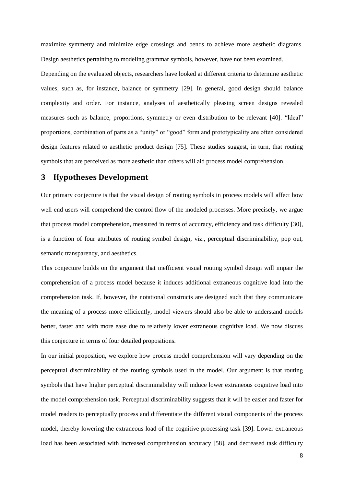maximize symmetry and minimize edge crossings and bends to achieve more aesthetic diagrams. Design aesthetics pertaining to modeling grammar symbols, however, have not been examined.

Depending on the evaluated objects, researchers have looked at different criteria to determine aesthetic values, such as, for instance, balance or symmetry [\[29\]](#page-31-8). In general, good design should balance complexity and order. For instance, analyses of aesthetically pleasing screen designs revealed measures such as balance, proportions, symmetry or even distribution to be relevant [\[40\]](#page-32-10). "Ideal" proportions, combination of parts as a "unity" or "good" form and prototypicality are often considered design features related to aesthetic product design [\[75\]](#page-34-8). These studies suggest, in turn, that routing symbols that are perceived as more aesthetic than others will aid process model comprehension.

## **3 Hypotheses Development**

Our primary conjecture is that the visual design of routing symbols in process models will affect how well end users will comprehend the control flow of the modeled processes. More precisely, we argue that process model comprehension, measured in terms of accuracy, efficiency and task difficulty [\[30\]](#page-31-9), is a function of four attributes of routing symbol design, viz., perceptual discriminability, pop out, semantic transparency, and aesthetics.

This conjecture builds on the argument that inefficient visual routing symbol design will impair the comprehension of a process model because it induces additional extraneous cognitive load into the comprehension task. If, however, the notational constructs are designed such that they communicate the meaning of a process more efficiently, model viewers should also be able to understand models better, faster and with more ease due to relatively lower extraneous cognitive load. We now discuss this conjecture in terms of four detailed propositions.

In our initial proposition, we explore how process model comprehension will vary depending on the perceptual discriminability of the routing symbols used in the model. Our argument is that routing symbols that have higher perceptual discriminability will induce lower extraneous cognitive load into the model comprehension task. Perceptual discriminability suggests that it will be easier and faster for model readers to perceptually process and differentiate the different visual components of the process model, thereby lowering the extraneous load of the cognitive processing task [\[39\]](#page-32-3). Lower extraneous load has been associated with increased comprehension accuracy [\[58\]](#page-33-4), and decreased task difficulty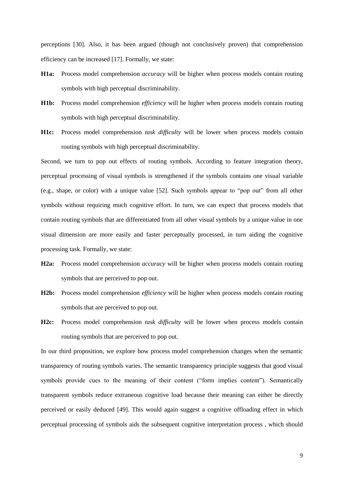perceptions [\[30\]](#page-31-9). Also, it has been argued (though not conclusively proven) that comprehension efficiency can be increased [\[17\]](#page-31-10). Formally, we state:

- **H1a:** Process model comprehension *accuracy* will be higher when process models contain routing symbols with high perceptual discriminability.
- **H1b:** Process model comprehension *efficiency* will be higher when process models contain routing symbols with high perceptual discriminability.
- **H1c:** Process model comprehension *task difficulty* will be lower when process models contain routing symbols with high perceptual discriminability.

Second, we turn to pop out effects of routing symbols. According to feature integration theory, perceptual processing of visual symbols is strengthened if the symbols contains one visual variable (e.g., shape, or color) with a unique value [\[52\]](#page-33-9). Such symbols appear to "pop out" from all other symbols without requiring much cognitive effort. In turn, we can expect that process models that contain routing symbols that are differentiated from all other visual symbols by a unique value in one visual dimension are more easily and faster perceptually processed, in turn aiding the cognitive processing task. Formally, we state:

- **H2a:** Process model comprehension *accuracy* will be higher when process models contain routing symbols that are perceived to pop out.
- **H2b:** Process model comprehension *efficiency* will be higher when process models contain routing symbols that are perceived to pop out.
- **H2c:** Process model comprehension *task difficulty* will be lower when process models contain routing symbols that are perceived to pop out.

In our third proposition, we explore how process model comprehension changes when the semantic transparency of routing symbols varies. The semantic transparency principle suggests that good visual symbols provide cues to the meaning of their content ("form implies content"). Semantically transparent symbols reduce extraneous cognitive load because their meaning can either be directly perceived or easily deduced [\[49\]](#page-32-11). This would again suggest a cognitive offloading effect in which perceptual processing of symbols aids the subsequent cognitive interpretation process , which should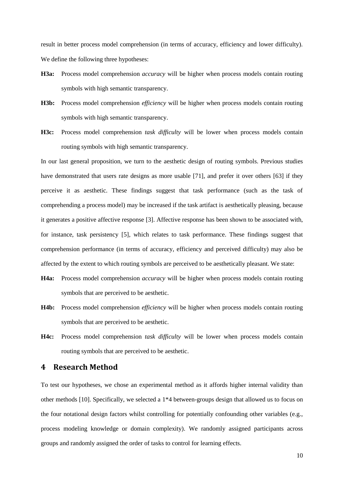result in better process model comprehension (in terms of accuracy, efficiency and lower difficulty). We define the following three hypotheses:

- **H3a:** Process model comprehension *accuracy* will be higher when process models contain routing symbols with high semantic transparency.
- **H3b:** Process model comprehension *efficiency* will be higher when process models contain routing symbols with high semantic transparency.
- **H3c:** Process model comprehension *task difficulty* will be lower when process models contain routing symbols with high semantic transparency.

In our last general proposition, we turn to the aesthetic design of routing symbols. Previous studies have demonstrated that users rate designs as more usable [\[71\]](#page-34-7), and prefer it over others [\[63\]](#page-33-7) if they perceive it as aesthetic. These findings suggest that task performance (such as the task of comprehending a process model) may be increased if the task artifact is aesthetically pleasing, because it generates a positive affective response [\[3\]](#page-30-3). Affective response has been shown to be associated with, for instance, task persistency [\[5\]](#page-30-4), which relates to task performance. These findings suggest that comprehension performance (in terms of accuracy, efficiency and perceived difficulty) may also be affected by the extent to which routing symbols are perceived to be aesthetically pleasant. We state:

- **H4a:** Process model comprehension *accuracy* will be higher when process models contain routing symbols that are perceived to be aesthetic.
- **H4b:** Process model comprehension *efficiency* will be higher when process models contain routing symbols that are perceived to be aesthetic.
- **H4c:** Process model comprehension *task difficulty* will be lower when process models contain routing symbols that are perceived to be aesthetic.

## **4 Research Method**

To test our hypotheses, we chose an experimental method as it affords higher internal validity than other methods [\[10\]](#page-30-5). Specifically, we selected a 1\*4 between-groups design that allowed us to focus on the four notational design factors whilst controlling for potentially confounding other variables (e.g., process modeling knowledge or domain complexity). We randomly assigned participants across groups and randomly assigned the order of tasks to control for learning effects.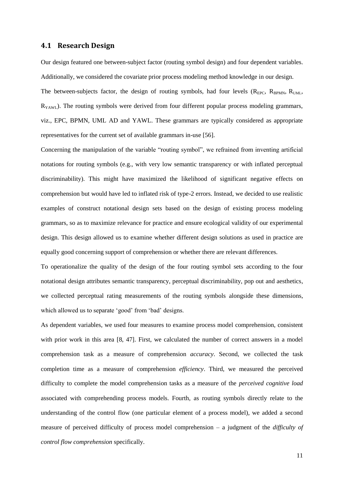#### **4.1 Research Design**

Our design featured one between-subject factor (routing symbol design) and four dependent variables. Additionally, we considered the covariate prior process modeling method knowledge in our design.

The between-subjects factor, the design of routing symbols, had four levels  $(R_{EPC}, R_{BPMN}, R_{UML}, R_{UML})$  $R_{YAWI}$ ). The routing symbols were derived from four different popular process modeling grammars, viz., EPC, BPMN, UML AD and YAWL. These grammars are typically considered as appropriate representatives for the current set of available grammars in-use [\[56\]](#page-33-10).

Concerning the manipulation of the variable "routing symbol", we refrained from inventing artificial notations for routing symbols (e.g., with very low semantic transparency or with inflated perceptual discriminability). This might have maximized the likelihood of significant negative effects on comprehension but would have led to inflated risk of type-2 errors. Instead, we decided to use realistic examples of construct notational design sets based on the design of existing process modeling grammars, so as to maximize relevance for practice and ensure ecological validity of our experimental design. This design allowed us to examine whether different design solutions as used in practice are equally good concerning support of comprehension or whether there are relevant differences.

To operationalize the quality of the design of the four routing symbol sets according to the four notational design attributes semantic transparency, perceptual discriminability, pop out and aesthetics, we collected perceptual rating measurements of the routing symbols alongside these dimensions, which allowed us to separate 'good' from 'bad' designs.

As dependent variables, we used four measures to examine process model comprehension, consistent with prior work in this area [\[8,](#page-30-6) [47\]](#page-32-12). First, we calculated the number of correct answers in a model comprehension task as a measure of comprehension *accuracy*. Second, we collected the task completion time as a measure of comprehension *efficiency*. Third, we measured the perceived difficulty to complete the model comprehension tasks as a measure of the *perceived cognitive load* associated with comprehending process models. Fourth, as routing symbols directly relate to the understanding of the control flow (one particular element of a process model), we added a second measure of perceived difficulty of process model comprehension – a judgment of the *difficulty of control flow comprehension* specifically.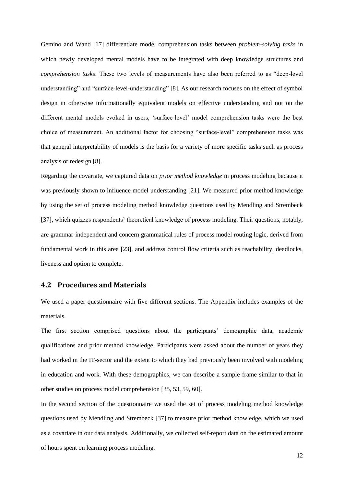Gemino and Wand [\[17\]](#page-31-10) differentiate model comprehension tasks between *problem-solving tasks* in which newly developed mental models have to be integrated with deep knowledge structures and *comprehension tasks*. These two levels of measurements have also been referred to as "deep-level understanding" and "surface-level-understanding" [\[8\]](#page-30-6). As our research focuses on the effect of symbol design in otherwise informationally equivalent models on effective understanding and not on the different mental models evoked in users, 'surface-level' model comprehension tasks were the best choice of measurement. An additional factor for choosing "surface-level" comprehension tasks was that general interpretability of models is the basis for a variety of more specific tasks such as process analysis or redesign [\[8\]](#page-30-6).

Regarding the covariate, we captured data on *prior method knowledge* in process modeling because it was previously shown to influence model understanding [\[21\]](#page-31-11). We measured prior method knowledge by using the set of process modeling method knowledge questions used by Mendling and Strembeck [\[37\]](#page-32-13), which quizzes respondents' theoretical knowledge of process modeling. Their questions, notably, are grammar-independent and concern grammatical rules of process model routing logic, derived from fundamental work in this area [\[23\]](#page-31-12), and address control flow criteria such as reachability, deadlocks, liveness and option to complete.

#### **4.2 Procedures and Materials**

We used a paper questionnaire with five different sections. The Appendix includes examples of the materials.

The first section comprised questions about the participants' demographic data, academic qualifications and prior method knowledge. Participants were asked about the number of years they had worked in the IT-sector and the extent to which they had previously been involved with modeling in education and work. With these demographics, we can describe a sample frame similar to that in other studies on process model comprehension [\[35,](#page-32-1) [53,](#page-33-6) [59,](#page-33-11) [60\]](#page-33-3).

In the second section of the questionnaire we used the set of process modeling method knowledge questions used by Mendling and Strembeck [\[37\]](#page-32-13) to measure prior method knowledge, which we used as a covariate in our data analysis. Additionally, we collected self-report data on the estimated amount of hours spent on learning process modeling.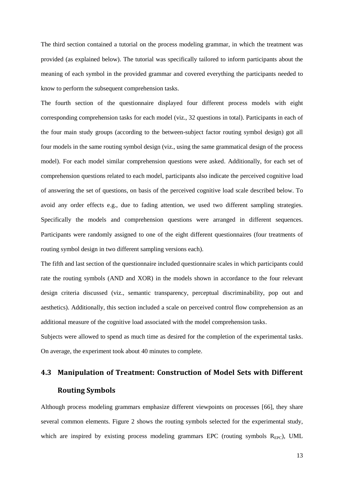The third section contained a tutorial on the process modeling grammar, in which the treatment was provided (as explained below). The tutorial was specifically tailored to inform participants about the meaning of each symbol in the provided grammar and covered everything the participants needed to know to perform the subsequent comprehension tasks.

The fourth section of the questionnaire displayed four different process models with eight corresponding comprehension tasks for each model (viz., 32 questions in total). Participants in each of the four main study groups (according to the between-subject factor routing symbol design) got all four models in the same routing symbol design (viz., using the same grammatical design of the process model). For each model similar comprehension questions were asked. Additionally, for each set of comprehension questions related to each model, participants also indicate the perceived cognitive load of answering the set of questions, on basis of the perceived cognitive load scale described below. To avoid any order effects e.g., due to fading attention, we used two different sampling strategies. Specifically the models and comprehension questions were arranged in different sequences. Participants were randomly assigned to one of the eight different questionnaires (four treatments of routing symbol design in two different sampling versions each).

The fifth and last section of the questionnaire included questionnaire scales in which participants could rate the routing symbols (AND and XOR) in the models shown in accordance to the four relevant design criteria discussed (viz., semantic transparency, perceptual discriminability, pop out and aesthetics). Additionally, this section included a scale on perceived control flow comprehension as an additional measure of the cognitive load associated with the model comprehension tasks.

Subjects were allowed to spend as much time as desired for the completion of the experimental tasks. On average, the experiment took about 40 minutes to complete.

## **4.3 Manipulation of Treatment: Construction of Model Sets with Different Routing Symbols**

Although process modeling grammars emphasize different viewpoints on processes [\[66\]](#page-33-12), they share several common elements. [Figure 2](#page-14-0) shows the routing symbols selected for the experimental study, which are inspired by existing process modeling grammars EPC (routing symbols  $R_{EPC}$ ), UML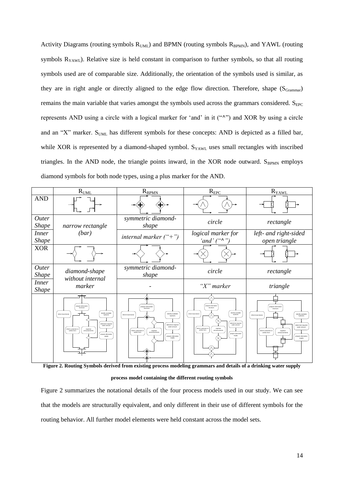Activity Diagrams (routing symbols  $R_{UML}$ ) and BPMN (routing symbols  $R_{BPMN}$ ), and YAWL (routing symbols  $R_{YAWL}$ ). Relative size is held constant in comparison to further symbols, so that all routing symbols used are of comparable size. Additionally, the orientation of the symbols used is similar, as they are in right angle or directly aligned to the edge flow direction. Therefore, shape  $(S_{Grammar})$ remains the main variable that varies amongst the symbols used across the grammars considered.  $S_{EPC}$ represents AND using a circle with a logical marker for 'and' in it ("^") and XOR by using a circle and an "X" marker. S<sub>UML</sub> has different symbols for these concepts: AND is depicted as a filled bar, while XOR is represented by a diamond-shaped symbol.  $S_{YAWL}$  uses small rectangles with inscribed triangles. In the AND node, the triangle points inward, in the XOR node outward.  $S_{BPMN}$  employs diamond symbols for both node types, using a plus marker for the AND.

|                              | $R_{\text{U}_{\underbar{\text{ML}}}}$                                                                                                                                                                                      | $R_{BPMN$                                                                                                                                                                                                                         | $R_{\text{EPC}}$                                                                                                                                                                                                            | $R_{Y\underline{AWL}}$                                                                                                                                                                                                            |  |
|------------------------------|----------------------------------------------------------------------------------------------------------------------------------------------------------------------------------------------------------------------------|-----------------------------------------------------------------------------------------------------------------------------------------------------------------------------------------------------------------------------------|-----------------------------------------------------------------------------------------------------------------------------------------------------------------------------------------------------------------------------|-----------------------------------------------------------------------------------------------------------------------------------------------------------------------------------------------------------------------------------|--|
| <b>AND</b>                   |                                                                                                                                                                                                                            |                                                                                                                                                                                                                                   |                                                                                                                                                                                                                             |                                                                                                                                                                                                                                   |  |
| <b>Outer</b><br><b>Shape</b> | narrow rectangle                                                                                                                                                                                                           | symmetric diamond-<br>shape                                                                                                                                                                                                       | circle                                                                                                                                                                                                                      | rectangle                                                                                                                                                                                                                         |  |
| <i>Inner</i><br>Shape        | (bar)                                                                                                                                                                                                                      | internal marker $('+'')$                                                                                                                                                                                                          | logical marker for<br>'and' $('')$                                                                                                                                                                                          | left- and right-sided<br>open triangle                                                                                                                                                                                            |  |
| <b>XOR</b>                   |                                                                                                                                                                                                                            |                                                                                                                                                                                                                                   |                                                                                                                                                                                                                             |                                                                                                                                                                                                                                   |  |
| Outer<br>Shape               | diamond-shape<br>without internal                                                                                                                                                                                          | symmetric diamond-<br>shape                                                                                                                                                                                                       | circle                                                                                                                                                                                                                      | rectangle                                                                                                                                                                                                                         |  |
| <b>Inner</b><br><b>Shape</b> | marker                                                                                                                                                                                                                     |                                                                                                                                                                                                                                   | " $X$ " marker                                                                                                                                                                                                              | triangle                                                                                                                                                                                                                          |  |
|                              | repare informati<br>brochure<br>identify available<br>inform local doctor<br>hydrants<br>stemine required<br>water amount<br>organise<br>inform customers<br>written form<br>announcement<br>prepare alternative<br>supply | creoare informatio<br>brochure<br>identify available<br>inform local doctor<br>hydrants<br>determine required<br>woter amount<br>organise<br>inform customers i<br>announcements<br>written form<br>prepare alternative<br>supply | spare informa<br>brochure<br>identify available<br>inform local doctor<br>hydrants<br>determine required<br>water amount<br>inform customers in<br>organise<br>announcements<br>written form<br>prepare alternati<br>supply | prepare information<br>brochure<br>identify available<br>inform local doctor<br>hydrants<br>determine required<br>water amount<br>inform customers i<br>organise<br>written form<br>announcements<br>prepare alternativ<br>supply |  |

<span id="page-14-0"></span>**Figure 2. Routing Symbols derived from existing process modeling grammars and details of a drinking water supply process model containing the different routing symbols**

[Figure 2](#page-14-0) summarizes the notational details of the four process models used in our study. We can see that the models are structurally equivalent, and only different in their use of different symbols for the routing behavior. All further model elements were held constant across the model sets.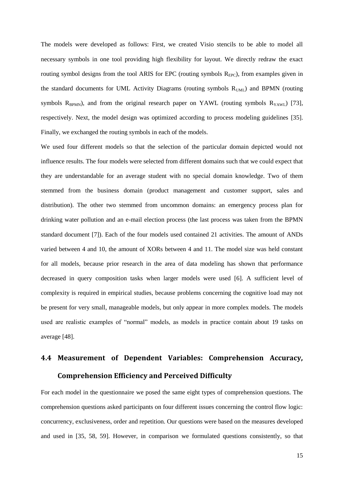The models were developed as follows: First, we created Visio stencils to be able to model all necessary symbols in one tool providing high flexibility for layout. We directly redraw the exact routing symbol designs from the tool ARIS for EPC (routing symbols  $R_{EPC}$ ), from examples given in the standard documents for UML Activity Diagrams (routing symbols  $R_{UML}$ ) and BPMN (routing symbols  $R_{BPMN}$ ), and from the original research paper on YAWL (routing symbols  $R_{YAWL}$ ) [\[73\]](#page-34-9), respectively. Next, the model design was optimized according to process modeling guidelines [\[35\]](#page-32-1). Finally, we exchanged the routing symbols in each of the models.

We used four different models so that the selection of the particular domain depicted would not influence results. The four models were selected from different domains such that we could expect that they are understandable for an average student with no special domain knowledge. Two of them stemmed from the business domain (product management and customer support, sales and distribution). The other two stemmed from uncommon domains: an emergency process plan for drinking water pollution and an e-mail election process (the last process was taken from the BPMN standard document [\[7\]](#page-30-7)). Each of the four models used contained 21 activities. The amount of ANDs varied between 4 and 10, the amount of XORs between 4 and 11. The model size was held constant for all models, because prior research in the area of data modeling has shown that performance decreased in query composition tasks when larger models were used [\[6\]](#page-30-8). A sufficient level of complexity is required in empirical studies, because problems concerning the cognitive load may not be present for very small, manageable models, but only appear in more complex models. The models used are realistic examples of "normal" models, as models in practice contain about 19 tasks on average [\[48\]](#page-32-14).

## **4.4 Measurement of Dependent Variables: Comprehension Accuracy, Comprehension Efficiency and Perceived Difficulty**

For each model in the questionnaire we posed the same eight types of comprehension questions. The comprehension questions asked participants on four different issues concerning the control flow logic: concurrency, exclusiveness, order and repetition. Our questions were based on the measures developed and used in [\[35,](#page-32-1) [58,](#page-33-4) [59\]](#page-33-11). However, in comparison we formulated questions consistently, so that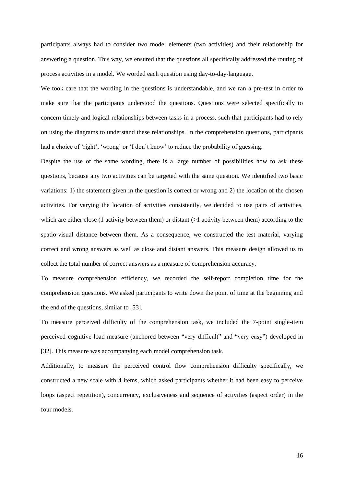participants always had to consider two model elements (two activities) and their relationship for answering a question. This way, we ensured that the questions all specifically addressed the routing of process activities in a model. We worded each question using day-to-day-language.

We took care that the wording in the questions is understandable, and we ran a pre-test in order to make sure that the participants understood the questions. Questions were selected specifically to concern timely and logical relationships between tasks in a process, such that participants had to rely on using the diagrams to understand these relationships. In the comprehension questions, participants had a choice of 'right', 'wrong' or 'I don't know' to reduce the probability of guessing.

Despite the use of the same wording, there is a large number of possibilities how to ask these questions, because any two activities can be targeted with the same question. We identified two basic variations: 1) the statement given in the question is correct or wrong and 2) the location of the chosen activities. For varying the location of activities consistently, we decided to use pairs of activities, which are either close (1 activity between them) or distant ( $>1$  activity between them) according to the spatio-visual distance between them. As a consequence, we constructed the test material, varying correct and wrong answers as well as close and distant answers. This measure design allowed us to collect the total number of correct answers as a measure of comprehension accuracy.

To measure comprehension efficiency, we recorded the self-report completion time for the comprehension questions. We asked participants to write down the point of time at the beginning and the end of the questions, similar to [\[53\]](#page-33-6).

To measure perceived difficulty of the comprehension task, we included the 7-point single-item perceived cognitive load measure (anchored between "very difficult" and "very easy") developed in [\[32\]](#page-31-13). This measure was accompanying each model comprehension task.

Additionally, to measure the perceived control flow comprehension difficulty specifically, we constructed a new scale with 4 items, which asked participants whether it had been easy to perceive loops (aspect repetition), concurrency, exclusiveness and sequence of activities (aspect order) in the four models.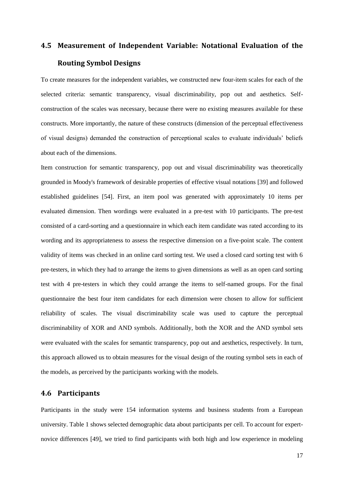# **4.5 Measurement of Independent Variable: Notational Evaluation of the Routing Symbol Designs**

To create measures for the independent variables, we constructed new four-item scales for each of the selected criteria: semantic transparency, visual discriminability, pop out and aesthetics. Selfconstruction of the scales was necessary, because there were no existing measures available for these constructs. More importantly, the nature of these constructs (dimension of the perceptual effectiveness of visual designs) demanded the construction of perceptional scales to evaluate individuals' beliefs about each of the dimensions.

Item construction for semantic transparency, pop out and visual discriminability was theoretically grounded in Moody's framework of desirable properties of effective visual notations [\[39\]](#page-32-3) and followed established guidelines [\[54\]](#page-33-13). First, an item pool was generated with approximately 10 items per evaluated dimension. Then wordings were evaluated in a pre-test with 10 participants. The pre-test consisted of a card-sorting and a questionnaire in which each item candidate was rated according to its wording and its appropriateness to assess the respective dimension on a five-point scale. The content validity of items was checked in an online card sorting test. We used a closed card sorting test with 6 pre-testers, in which they had to arrange the items to given dimensions as well as an open card sorting test with 4 pre-testers in which they could arrange the items to self-named groups. For the final questionnaire the best four item candidates for each dimension were chosen to allow for sufficient reliability of scales. The visual discriminability scale was used to capture the perceptual discriminability of XOR and AND symbols. Additionally, both the XOR and the AND symbol sets were evaluated with the scales for semantic transparency, pop out and aesthetics, respectively. In turn, this approach allowed us to obtain measures for the visual design of the routing symbol sets in each of the models, as perceived by the participants working with the models.

#### **4.6 Participants**

Participants in the study were 154 information systems and business students from a European university. [Table 1](#page-18-0) shows selected demographic data about participants per cell. To account for expertnovice differences [\[49\]](#page-32-11), we tried to find participants with both high and low experience in modeling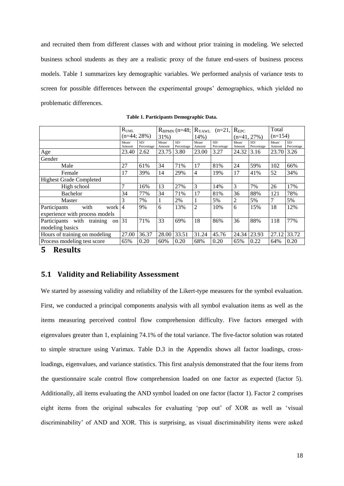and recruited them from different classes with and without prior training in modeling. We selected business school students as they are a realistic proxy of the future end-users of business process models. [Table 1](#page-18-0) summarizes key demographic variables. We performed analysis of variance tests to screen for possible differences between the experimental groups' demographics, which yielded no problematic differences.

<span id="page-18-0"></span>

|                                  | $R_{UML}$       |                   | $R_{BPMN}$ (n=48; |                   | $R_{YAWL}$<br>$(n=21, R_{EPC})$ |                   |                 |                   | Total           |                   |  |
|----------------------------------|-----------------|-------------------|-------------------|-------------------|---------------------------------|-------------------|-----------------|-------------------|-----------------|-------------------|--|
|                                  | $(n=44; 28\%)$  |                   | 31%)              |                   |                                 | 14%)              |                 | $(n=41, 27%)$     |                 | $(n=154)$         |  |
|                                  | Mean/<br>Amount | SD/<br>Percentage | Mean/<br>Amount   | SD/<br>Percentage | Mean/<br>Amount                 | SD/<br>Percentage | Mean/<br>Amount | SD/<br>Percentage | Mean/<br>Amount | SD/<br>Percentage |  |
| Age                              | 23.40           | 2.62              | 23.75             | 3.80              | 23.00                           | 3.27              | 24.32           | 3.16              | 23.70           | 3.26              |  |
| Gender                           |                 |                   |                   |                   |                                 |                   |                 |                   |                 |                   |  |
| Male                             | 27              | 61%               | 34                | 71%               | 17                              | 81%               | 24              | 59%               | 102             | 66%               |  |
| Female                           | 17              | 39%               | 14                | 29%               | $\overline{4}$                  | 19%               | 17              | 41%               | 52              | 34%               |  |
| <b>Highest Grade Completed</b>   |                 |                   |                   |                   |                                 |                   |                 |                   |                 |                   |  |
| High school                      | 7               | 16%               | 13                | 27%               | 3                               | 14%               | 3               | 7%                | 26              | 17%               |  |
| <b>Bachelor</b>                  | 34              | 77%               | 34                | 71%               | 17                              | 81%               | 36              | 88%               | 121             | 78%               |  |
| Master                           | 3               | 7%                |                   | 2%                |                                 | 5%                | 2               | 5%                |                 | 5%                |  |
| with<br>Participants<br>work     | $\overline{4}$  | 9%                | 6                 | 13%               | $\overline{2}$                  | 10%               | 6               | 15%               | 18              | 12%               |  |
| experience with process models   |                 |                   |                   |                   |                                 |                   |                 |                   |                 |                   |  |
| Participants with training<br>on | 31              | 71%               | 33                | 69%               | 18                              | 86%               | 36              | 88%               | 118             | 77%               |  |
| modeling basics                  |                 |                   |                   |                   |                                 |                   |                 |                   |                 |                   |  |
| Hours of training on modeling    | 27.00           | 36.37             | 28.00             | 33.51             | 31.24                           | 45.76             | 24.34           | 23.93             | 27.12           | 33.72             |  |
| Process modeling test score      | 65%             | 0.20              | 60%               | 0.20              | 68%                             | 0.20              | 65%             | 0.22              | 64%             | 0.20              |  |

**Table 1. Participants Demographic Data.**

### **5 Results**

### **5.1 Validity and Reliability Assessment**

We started by assessing validity and reliability of the Likert-type measures for the symbol evaluation. First, we conducted a principal components analysis with all symbol evaluation items as well as the items measuring perceived control flow comprehension difficulty. Five factors emerged with eigenvalues greater than 1, explaining 74.1% of the total variance. The five-factor solution was rotated to simple structure using Varimax. Table D.3 in the Appendix shows all factor loadings, crossloadings, eigenvalues, and variance statistics. This first analysis demonstrated that the four items from the questionnaire scale control flow comprehension loaded on one factor as expected (factor 5). Additionally, all items evaluating the AND symbol loaded on one factor (factor 1). Factor 2 comprises eight items from the original subscales for evaluating 'pop out' of XOR as well as 'visual discriminability' of AND and XOR. This is surprising, as visual discriminability items were asked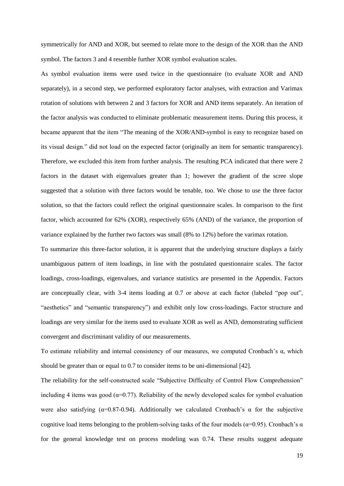symmetrically for AND and XOR, but seemed to relate more to the design of the XOR than the AND symbol. The factors 3 and 4 resemble further XOR symbol evaluation scales.

As symbol evaluation items were used twice in the questionnaire (to evaluate XOR and AND separately), in a second step, we performed exploratory factor analyses, with extraction and Varimax rotation of solutions with between 2 and 3 factors for XOR and AND items separately. An iteration of the factor analysis was conducted to eliminate problematic measurement items. During this process, it became apparent that the item "The meaning of the XOR/AND-symbol is easy to recognize based on its visual design." did not load on the expected factor (originally an item for semantic transparency). Therefore, we excluded this item from further analysis. The resulting PCA indicated that there were 2 factors in the dataset with eigenvalues greater than 1; however the gradient of the scree slope suggested that a solution with three factors would be tenable, too. We chose to use the three factor solution, so that the factors could reflect the original questionnaire scales. In comparison to the first factor, which accounted for 62% (XOR), respectively 65% (AND) of the variance, the proportion of variance explained by the further two factors was small (8% to 12%) before the varimax rotation.

To summarize this three-factor solution, it is apparent that the underlying structure displays a fairly unambiguous pattern of item loadings, in line with the postulated questionnaire scales. The factor loadings, cross-loadings, eigenvalues, and variance statistics are presented in the Appendix. Factors are conceptually clear, with 3-4 items loading at 0.7 or above at each factor (labeled "pop out", "aesthetics" and "semantic transparency") and exhibit only low cross-loadings. Factor structure and loadings are very similar for the items used to evaluate XOR as well as AND, demonstrating sufficient convergent and discriminant validity of our measurements.

To estimate reliability and internal consistency of our measures, we computed Cronbach's α, which should be greater than or equal to 0.7 to consider items to be uni-dimensional [\[42\]](#page-32-15).

The reliability for the self-constructed scale "Subjective Difficulty of Control Flow Comprehension" including 4 items was good ( $\alpha$ =0.77). Reliability of the newly developed scales for symbol evaluation were also satisfying ( $\alpha$ =0.87-0.94). Additionally we calculated Cronbach's  $\alpha$  for the subjective cognitive load items belonging to the problem-solving tasks of the four models ( $\alpha$ =0.95). Cronbach's  $\alpha$ for the general knowledge test on process modeling was 0.74. These results suggest adequate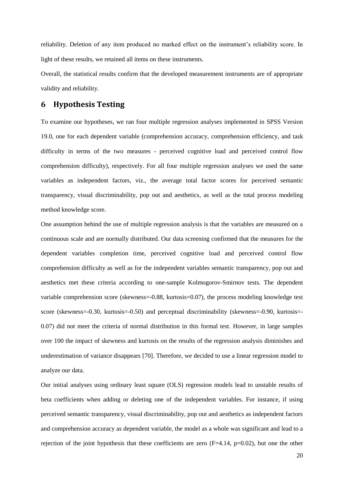reliability. Deletion of any item produced no marked effect on the instrument's reliability score. In light of these results, we retained all items on these instruments.

Overall, the statistical results confirm that the developed measurement instruments are of appropriate validity and reliability.

## **6 Hypothesis Testing**

To examine our hypotheses, we ran four multiple regression analyses implemented in SPSS Version 19.0, one for each dependent variable (comprehension accuracy, comprehension efficiency, and task difficulty in terms of the two measures - perceived cognitive load and perceived control flow comprehension difficulty), respectively. For all four multiple regression analyses we used the same variables as independent factors, viz., the average total factor scores for perceived semantic transparency, visual discriminability, pop out and aesthetics, as well as the total process modeling method knowledge score.

One assumption behind the use of multiple regression analysis is that the variables are measured on a continuous scale and are normally distributed. Our data screening confirmed that the measures for the dependent variables completion time, perceived cognitive load and perceived control flow comprehension difficulty as well as for the independent variables semantic transparency, pop out and aesthetics met these criteria according to one-sample Kolmogorov-Smirnov tests. The dependent variable comprehension score (skewness=-0.88, kurtosis=0.07), the process modeling knowledge test score (skewness=-0.30, kurtosis=-0.50) and perceptual discriminability (skewness=-0.90, kurtosis=- 0.07) did not meet the criteria of normal distribution in this formal test. However, in large samples over 100 the impact of skewness and kurtosis on the results of the regression analysis diminishes and underestimation of variance disappears [\[70\]](#page-34-10). Therefore, we decided to use a linear regression model to analyze our data.

Our initial analyses using ordinary least square (OLS) regression models lead to unstable results of beta coefficients when adding or deleting one of the independent variables. For instance, if using perceived semantic transparency, visual discriminability, pop out and aesthetics as independent factors and comprehension accuracy as dependent variable, the model as a whole was significant and lead to a rejection of the joint hypothesis that these coefficients are zero (F=4.14, p=0.02), but one the other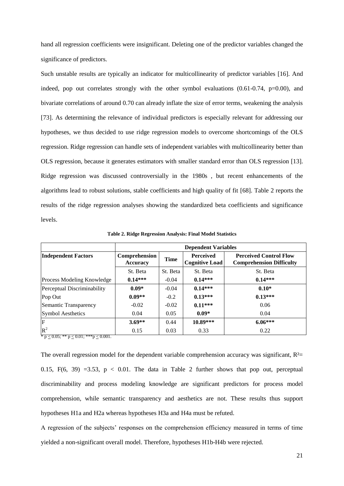hand all regression coefficients were insignificant. Deleting one of the predictor variables changed the significance of predictors.

Such unstable results are typically an indicator for multicollinearity of predictor variables [\[16\]](#page-30-9). And indeed, pop out correlates strongly with the other symbol evaluations  $(0.61-0.74, p=0.00)$ , and bivariate correlations of around 0.70 can already inflate the size of error terms, weakening the analysis [73]. As determining the relevance of individual predictors is especially relevant for addressing our hypotheses, we thus decided to use ridge regression models to overcome shortcomings of the OLS regression. Ridge regression can handle sets of independent variables with multicollinearity better than OLS regression, because it generates estimators with smaller standard error than OLS regression [\[13\]](#page-30-10). Ridge regression was discussed controversially in the 1980s , but recent enhancements of the algorithms lead to robust solutions, stable coefficients and high quality of fit [\[68\]](#page-34-11). [Table 2](#page-21-0) reports the results of the ridge regression analyses showing the standardized beta coefficients and significance levels.

<span id="page-21-0"></span>

|                                                           | <b>Dependent Variables</b>       |             |                                           |                                                                  |  |  |  |  |  |
|-----------------------------------------------------------|----------------------------------|-------------|-------------------------------------------|------------------------------------------------------------------|--|--|--|--|--|
| <b>Independent Factors</b>                                | <b>Comprehension</b><br>Accuracy | <b>Time</b> | <b>Perceived</b><br><b>Cognitive Load</b> | <b>Perceived Control Flow</b><br><b>Comprehension Difficulty</b> |  |  |  |  |  |
|                                                           | St. Beta                         | St. Beta    | St. Beta                                  | St. Beta                                                         |  |  |  |  |  |
| <b>Process Modeling Knowledge</b>                         | $0.14***$                        | $-0.04$     | $0.14***$                                 | $0.14***$                                                        |  |  |  |  |  |
| Perceptual Discriminability                               | $0.09*$                          | $-0.04$     | $0.14***$                                 | $0.10*$                                                          |  |  |  |  |  |
| Pop Out                                                   | $0.09**$                         | $-0.2$      | $0.13***$                                 | $0.13***$                                                        |  |  |  |  |  |
| Semantic Transparency                                     | $-0.02$                          | $-0.02$     | $0.11***$                                 | 0.06                                                             |  |  |  |  |  |
| Symbol Aesthetics                                         | 0.04                             | 0.05        | $0.09*$                                   | 0.04                                                             |  |  |  |  |  |
| F                                                         | $3.69**$                         | 0.44        | 10.89***                                  | $6.06***$                                                        |  |  |  |  |  |
| $R^2$<br>$* p < 0.05$ ; ** $p < 0.01$ ; *** $p < 0.001$ . | 0.15                             | 0.03        | 0.33                                      | 0.22                                                             |  |  |  |  |  |

**Table 2. Ridge Regression Analysis: Final Model Statistics**

The overall regression model for the dependent variable comprehension accuracy was significant,  $R<sup>2</sup>$ 0.15, F(6, 39) =3.53,  $p < 0.01$ . The data in [Table 2](#page-21-0) further shows that pop out, perceptual discriminability and process modeling knowledge are significant predictors for process model comprehension, while semantic transparency and aesthetics are not. These results thus support hypotheses H1a and H2a whereas hypotheses H3a and H4a must be refuted.

A regression of the subjects' responses on the comprehension efficiency measured in terms of time yielded a non-significant overall model. Therefore, hypotheses H1b-H4b were rejected.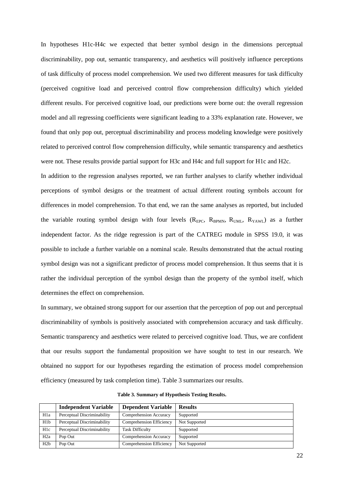In hypotheses H1c-H4c we expected that better symbol design in the dimensions perceptual discriminability, pop out, semantic transparency, and aesthetics will positively influence perceptions of task difficulty of process model comprehension. We used two different measures for task difficulty (perceived cognitive load and perceived control flow comprehension difficulty) which yielded different results. For perceived cognitive load, our predictions were borne out: the overall regression model and all regressing coefficients were significant leading to a 33% explanation rate. However, we found that only pop out, perceptual discriminability and process modeling knowledge were positively related to perceived control flow comprehension difficulty, while semantic transparency and aesthetics were not. These results provide partial support for H3c and H4c and full support for H1c and H2c.

In addition to the regression analyses reported, we ran further analyses to clarify whether individual perceptions of symbol designs or the treatment of actual different routing symbols account for differences in model comprehension. To that end, we ran the same analyses as reported, but included the variable routing symbol design with four levels  $(R_{EPC}, R_{BPMN}, R_{UML}, R_{YAWL})$  as a further independent factor. As the ridge regression is part of the CATREG module in SPSS 19.0, it was possible to include a further variable on a nominal scale. Results demonstrated that the actual routing symbol design was not a significant predictor of process model comprehension. It thus seems that it is rather the individual perception of the symbol design than the property of the symbol itself, which determines the effect on comprehension.

In summary, we obtained strong support for our assertion that the perception of pop out and perceptual discriminability of symbols is positively associated with comprehension accuracy and task difficulty. Semantic transparency and aesthetics were related to perceived cognitive load. Thus, we are confident that our results support the fundamental proposition we have sought to test in our research. We obtained no support for our hypotheses regarding the estimation of process model comprehension efficiency (measured by task completion time). [Table 3](#page-22-0) summarizes our results.

<span id="page-22-0"></span>

|                  | <b>Independent Variable</b> | <b>Dependent Variable</b> | <b>Results</b> |
|------------------|-----------------------------|---------------------------|----------------|
| H <sub>1</sub> a | Perceptual Discriminability | Comprehension Accuracy    | Supported      |
| H1b              | Perceptual Discriminability | Comprehension Efficiency  | Not Supported  |
| H <sub>1</sub> c | Perceptual Discriminability | <b>Task Difficulty</b>    | Supported      |
| H2a              | Pop Out                     | Comprehension Accuracy    | Supported      |
| H2b              | Pop Out                     | Comprehension Efficiency  | Not Supported  |

**Table 3. Summary of Hypothesis Testing Results.**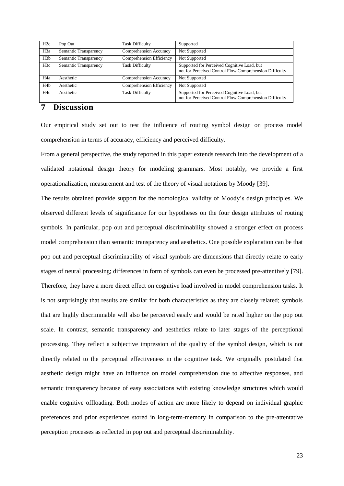| H2c              | Pop Out               | <b>Task Difficulty</b>   | Supported                                                                                              |
|------------------|-----------------------|--------------------------|--------------------------------------------------------------------------------------------------------|
| H <sub>3</sub> a | Semantic Transparency | Comprehension Accuracy   | Not Supported                                                                                          |
| H3b              | Semantic Transparency | Comprehension Efficiency | Not Supported                                                                                          |
| H3c              | Semantic Transparency | <b>Task Difficulty</b>   | Supported for Perceived Cognitive Load, but<br>not for Perceived Control Flow Comprehension Difficulty |
| H <sub>4</sub> a | Aesthetic             | Comprehension Accuracy   | Not Supported                                                                                          |
| H <sub>4</sub> b | Aesthetic             | Comprehension Efficiency | Not Supported                                                                                          |
| H <sub>4c</sub>  | Aesthetic             | <b>Task Difficulty</b>   | Supported for Perceived Cognitive Load, but<br>not for Perceived Control Flow Comprehension Difficulty |

## **7 Discussion**

Our empirical study set out to test the influence of routing symbol design on process model comprehension in terms of accuracy, efficiency and perceived difficulty.

From a general perspective, the study reported in this paper extends research into the development of a validated notational design theory for modeling grammars. Most notably, we provide a first operationalization, measurement and test of the theory of visual notations by Moody [\[39\]](#page-32-3).

The results obtained provide support for the nomological validity of Moody's design principles. We observed different levels of significance for our hypotheses on the four design attributes of routing symbols. In particular, pop out and perceptual discriminability showed a stronger effect on process model comprehension than semantic transparency and aesthetics. One possible explanation can be that pop out and perceptual discriminability of visual symbols are dimensions that directly relate to early stages of neural processing; differences in form of symbols can even be processed pre-attentively [\[79\]](#page-34-12). Therefore, they have a more direct effect on cognitive load involved in model comprehension tasks. It is not surprisingly that results are similar for both characteristics as they are closely related; symbols that are highly discriminable will also be perceived easily and would be rated higher on the pop out scale. In contrast, semantic transparency and aesthetics relate to later stages of the perceptional processing. They reflect a subjective impression of the quality of the symbol design, which is not directly related to the perceptual effectiveness in the cognitive task. We originally postulated that aesthetic design might have an influence on model comprehension due to affective responses, and semantic transparency because of easy associations with existing knowledge structures which would enable cognitive offloading. Both modes of action are more likely to depend on individual graphic preferences and prior experiences stored in long-term-memory in comparison to the pre-attentative perception processes as reflected in pop out and perceptual discriminability.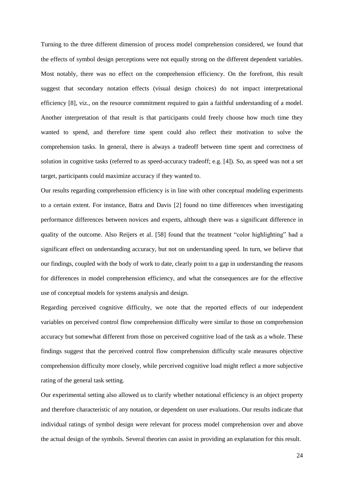Turning to the three different dimension of process model comprehension considered, we found that the effects of symbol design perceptions were not equally strong on the different dependent variables. Most notably, there was no effect on the comprehension efficiency. On the forefront, this result suggest that secondary notation effects (visual design choices) do not impact interpretational efficiency [\[8\]](#page-30-6), viz., on the resource commitment required to gain a faithful understanding of a model. Another interpretation of that result is that participants could freely choose how much time they wanted to spend, and therefore time spent could also reflect their motivation to solve the comprehension tasks. In general, there is always a tradeoff between time spent and correctness of solution in cognitive tasks (referred to as speed-accuracy tradeoff; e.g. [\[4\]](#page-30-11)). So, as speed was not a set target, participants could maximize accuracy if they wanted to.

Our results regarding comprehension efficiency is in line with other conceptual modeling experiments to a certain extent. For instance, Batra and Davis [\[2\]](#page-30-12) found no time differences when investigating performance differences between novices and experts, although there was a significant difference in quality of the outcome. Also Reijers et al. [\[58\]](#page-33-4) found that the treatment "color highlighting" had a significant effect on understanding accuracy, but not on understanding speed. In turn, we believe that our findings, coupled with the body of work to date, clearly point to a gap in understanding the reasons for differences in model comprehension efficiency, and what the consequences are for the effective use of conceptual models for systems analysis and design.

Regarding perceived cognitive difficulty, we note that the reported effects of our independent variables on perceived control flow comprehension difficulty were similar to those on comprehension accuracy but somewhat different from those on perceived cognitive load of the task as a whole. These findings suggest that the perceived control flow comprehension difficulty scale measures objective comprehension difficulty more closely, while perceived cognitive load might reflect a more subjective rating of the general task setting.

Our experimental setting also allowed us to clarify whether notational efficiency is an object property and therefore characteristic of any notation, or dependent on user evaluations. Our results indicate that individual ratings of symbol design were relevant for process model comprehension over and above the actual design of the symbols. Several theories can assist in providing an explanation for this result.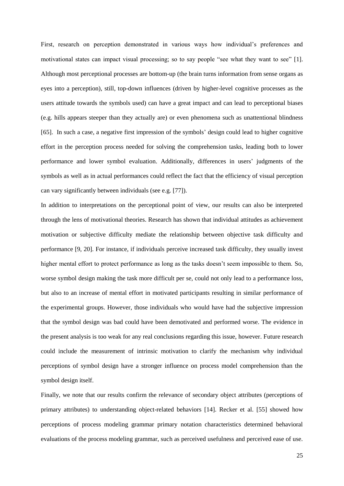First, research on perception demonstrated in various ways how individual's preferences and motivational states can impact visual processing; so to say people "see what they want to see" [\[1\]](#page-30-13). Although most perceptional processes are bottom-up (the brain turns information from sense organs as eyes into a perception), still, top-down influences (driven by higher-level cognitive processes as the users attitude towards the symbols used) can have a great impact and can lead to perceptional biases (e.g. hills appears steeper than they actually are) or even phenomena such as unattentional blindness [\[65\]](#page-33-14). In such a case, a negative first impression of the symbols' design could lead to higher cognitive effort in the perception process needed for solving the comprehension tasks, leading both to lower performance and lower symbol evaluation. Additionally, differences in users' judgments of the symbols as well as in actual performances could reflect the fact that the efficiency of visual perception can vary significantly between individuals (see e.g. [\[77\]](#page-34-13)).

In addition to interpretations on the perceptional point of view, our results can also be interpreted through the lens of motivational theories. Research has shown that individual attitudes as achievement motivation or subjective difficulty mediate the relationship between objective task difficulty and performance [\[9,](#page-30-14) [20\]](#page-31-14). For instance, if individuals perceive increased task difficulty, they usually invest higher mental effort to protect performance as long as the tasks doesn't seem impossible to them. So, worse symbol design making the task more difficult per se, could not only lead to a performance loss, but also to an increase of mental effort in motivated participants resulting in similar performance of the experimental groups. However, those individuals who would have had the subjective impression that the symbol design was bad could have been demotivated and performed worse. The evidence in the present analysis is too weak for any real conclusions regarding this issue, however. Future research could include the measurement of intrinsic motivation to clarify the mechanism why individual perceptions of symbol design have a stronger influence on process model comprehension than the symbol design itself.

Finally, we note that our results confirm the relevance of secondary object attributes (perceptions of primary attributes) to understanding object-related behaviors [\[14\]](#page-30-15). Recker et al. [\[55\]](#page-33-15) showed how perceptions of process modeling grammar primary notation characteristics determined behavioral evaluations of the process modeling grammar, such as perceived usefulness and perceived ease of use.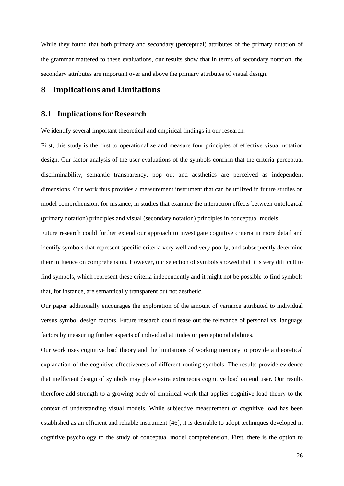While they found that both primary and secondary (perceptual) attributes of the primary notation of the grammar mattered to these evaluations, our results show that in terms of secondary notation, the secondary attributes are important over and above the primary attributes of visual design.

## **8 Implications and Limitations**

### **8.1 Implications for Research**

We identify several important theoretical and empirical findings in our research.

First, this study is the first to operationalize and measure four principles of effective visual notation design. Our factor analysis of the user evaluations of the symbols confirm that the criteria perceptual discriminability, semantic transparency, pop out and aesthetics are perceived as independent dimensions. Our work thus provides a measurement instrument that can be utilized in future studies on model comprehension; for instance, in studies that examine the interaction effects between ontological (primary notation) principles and visual (secondary notation) principles in conceptual models.

Future research could further extend our approach to investigate cognitive criteria in more detail and identify symbols that represent specific criteria very well and very poorly, and subsequently determine their influence on comprehension. However, our selection of symbols showed that it is very difficult to find symbols, which represent these criteria independently and it might not be possible to find symbols that, for instance, are semantically transparent but not aesthetic.

Our paper additionally encourages the exploration of the amount of variance attributed to individual versus symbol design factors. Future research could tease out the relevance of personal vs. language factors by measuring further aspects of individual attitudes or perceptional abilities.

Our work uses cognitive load theory and the limitations of working memory to provide a theoretical explanation of the cognitive effectiveness of different routing symbols. The results provide evidence that inefficient design of symbols may place extra extraneous cognitive load on end user. Our results therefore add strength to a growing body of empirical work that applies cognitive load theory to the context of understanding visual models. While subjective measurement of cognitive load has been established as an efficient and reliable instrument [\[46\]](#page-32-16), it is desirable to adopt techniques developed in cognitive psychology to the study of conceptual model comprehension. First, there is the option to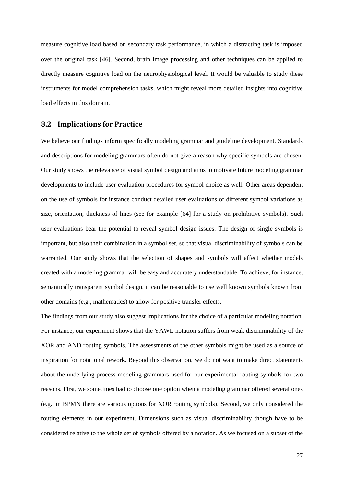measure cognitive load based on secondary task performance, in which a distracting task is imposed over the original task [\[46\]](#page-32-16). Second, brain image processing and other techniques can be applied to directly measure cognitive load on the neurophysiological level. It would be valuable to study these instruments for model comprehension tasks, which might reveal more detailed insights into cognitive load effects in this domain.

### **8.2 Implications for Practice**

We believe our findings inform specifically modeling grammar and guideline development. Standards and descriptions for modeling grammars often do not give a reason why specific symbols are chosen. Our study shows the relevance of visual symbol design and aims to motivate future modeling grammar developments to include user evaluation procedures for symbol choice as well. Other areas dependent on the use of symbols for instance conduct detailed user evaluations of different symbol variations as size, orientation, thickness of lines (see for example [\[64\]](#page-33-16) for a study on prohibitive symbols). Such user evaluations bear the potential to reveal symbol design issues. The design of single symbols is important, but also their combination in a symbol set, so that visual discriminability of symbols can be warranted. Our study shows that the selection of shapes and symbols will affect whether models created with a modeling grammar will be easy and accurately understandable. To achieve, for instance, semantically transparent symbol design, it can be reasonable to use well known symbols known from other domains (e.g., mathematics) to allow for positive transfer effects.

The findings from our study also suggest implications for the choice of a particular modeling notation. For instance, our experiment shows that the YAWL notation suffers from weak discriminability of the XOR and AND routing symbols. The assessments of the other symbols might be used as a source of inspiration for notational rework. Beyond this observation, we do not want to make direct statements about the underlying process modeling grammars used for our experimental routing symbols for two reasons. First, we sometimes had to choose one option when a modeling grammar offered several ones (e.g., in BPMN there are various options for XOR routing symbols). Second, we only considered the routing elements in our experiment. Dimensions such as visual discriminability though have to be considered relative to the whole set of symbols offered by a notation. As we focused on a subset of the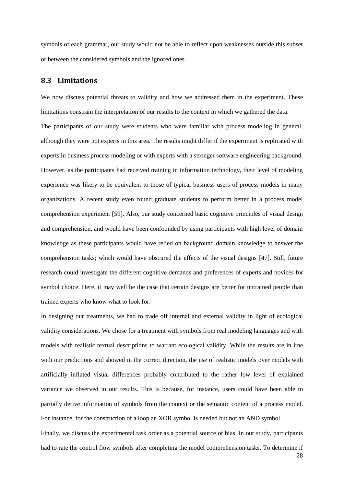symbols of each grammar, our study would not be able to reflect upon weaknesses outside this subset or between the considered symbols and the ignored ones.

#### **8.3 Limitations**

We now discuss potential threats to validity and how we addressed them in the experiment. These limitations constrain the interpretation of our results to the context in which we gathered the data. The participants of our study were students who were familiar with process modeling in general, although they were not experts in this area. The results might differ if the experiment is replicated with experts in business process modeling or with experts with a stronger software engineering background. However, as the participants had received training in information technology, their level of modeling experience was likely to be equivalent to those of typical business users of process models in many organizations. A recent study even found graduate students to perform better in a process model comprehension experiment [\[59\]](#page-33-11). Also, our study concerned basic cognitive principles of visual design and comprehension, and would have been confounded by using participants with high level of domain knowledge as these participants would have relied on background domain knowledge to answer the comprehension tasks; which would have obscured the effects of the visual designs [\[47\]](#page-32-12). Still, future research could investigate the different cognitive demands and preferences of experts and novices for symbol choice. Here, it may well be the case that certain designs are better for untrained people than trained experts who know what to look for.

In designing our treatments, we had to trade off internal and external validity in light of ecological validity considerations. We chose for a treatment with symbols from real modeling languages and with models with realistic textual descriptions to warrant ecological validity. While the results are in line with our predictions and showed in the correct direction, the use of realistic models over models with artificially inflated visual differences probably contributed to the rather low level of explained variance we observed in our results. This is because, for instance, users could have been able to partially derive information of symbols from the context or the semantic content of a process model. For instance, for the construction of a loop an XOR symbol is needed but not an AND symbol.

Finally, we discuss the experimental task order as a potential source of bias. In our study, participants had to rate the control flow symbols after completing the model comprehension tasks. To determine if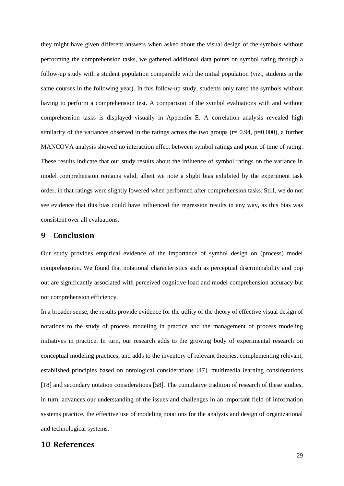they might have given different answers when asked about the visual design of the symbols without performing the comprehension tasks, we gathered additional data points on symbol rating through a follow-up study with a student population comparable with the initial population (viz., students in the same courses in the following year). In this follow-up study, students only rated the symbols without having to perform a comprehension test. A comparison of the symbol evaluations with and without comprehension tasks is displayed visually in Appendix E. A correlation analysis revealed high similarity of the variances observed in the ratings across the two groups ( $r = 0.94$ ,  $p=0.000$ ), a further MANCOVA analysis showed no interaction effect between symbol ratings and point of time of rating. These results indicate that our study results about the influence of symbol ratings on the variance in model comprehension remains valid, albeit we note a slight bias exhibited by the experiment task order, in that ratings were slightly lowered when performed after comprehension tasks. Still, we do not see evidence that this bias could have influenced the regression results in any way, as this bias was consistent over all evaluations.

### **9 Conclusion**

Our study provides empirical evidence of the importance of symbol design on (process) model comprehension. We found that notational characteristics such as perceptual discriminability and pop out are significantly associated with perceived cognitive load and model comprehension accuracy but not comprehension efficiency.

In a broader sense, the results provide evidence for the utility of the theory of effective visual design of notations to the study of process modeling in practice and the management of process modeling initiatives in practice. In turn, our research adds to the growing body of experimental research on conceptual modeling practices, and adds to the inventory of relevant theories, complementing relevant, established principles based on ontological considerations [\[47\]](#page-32-12), multimedia learning considerations [\[18\]](#page-31-15) and secondary notation considerations [\[58\]](#page-33-4). The cumulative tradition of research of these studies, in turn, advances our understanding of the issues and challenges in an important field of information systems practice, the effective use of modeling notations for the analysis and design of organizational and technological systems.

## **10 References**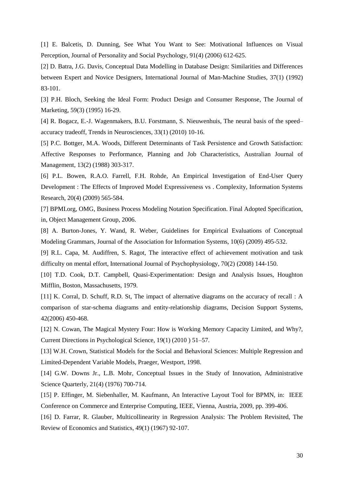<span id="page-30-13"></span>[1] E. Balcetis, D. Dunning, See What You Want to See: Motivational Influences on Visual Perception, Journal of Personality and Social Psychology, 91(4) (2006) 612-625.

<span id="page-30-12"></span>[2] D. Batra, J.G. Davis, Conceptual Data Modelling in Database Design: Similarities and Differences between Expert and Novice Designers, International Journal of Man-Machine Studies, 37(1) (1992) 83-101.

<span id="page-30-3"></span>[3] P.H. Bloch, Seeking the Ideal Form: Product Design and Consumer Response, The Journal of Marketing, 59(3) (1995) 16-29.

<span id="page-30-11"></span>[4] R. Bogacz, E.-J. Wagenmakers, B.U. Forstmann, S. Nieuwenhuis, The neural basis of the speed– accuracy tradeoff, Trends in Neurosciences, 33(1) (2010) 10-16.

<span id="page-30-4"></span>[5] P.C. Bottger, M.A. Woods, Different Determinants of Task Persistence and Growth Satisfaction: Affective Responses to Performance, Planning and Job Characteristics, Australian Journal of Management, 13(2) (1988) 303-317.

<span id="page-30-8"></span>[6] P.L. Bowen, R.A.O. Farrell, F.H. Rohde, An Empirical Investigation of End-User Query Development : The Effects of Improved Model Expressiveness vs . Complexity, Information Systems Research, 20(4) (2009) 565-584.

<span id="page-30-7"></span>[7] BPMI.org, OMG, Business Process Modeling Notation Specification. Final Adopted Specification, in, Object Management Group, 2006.

<span id="page-30-6"></span>[8] A. Burton-Jones, Y. Wand, R. Weber, Guidelines for Empirical Evaluations of Conceptual Modeling Grammars, Journal of the Association for Information Systems, 10(6) (2009) 495-532.

<span id="page-30-14"></span>[9] R.L. Capa, M. Audiffren, S. Ragot, The interactive effect of achievement motivation and task difficulty on mental effort, International Journal of Psychophysiology, 70(2) (2008) 144-150.

<span id="page-30-5"></span>[10] T.D. Cook, D.T. Campbell, Quasi-Experimentation: Design and Analysis Issues, Houghton Mifflin, Boston, Massachusetts, 1979.

<span id="page-30-0"></span>[11] K. Corral, D. Schuff, R.D. St, The impact of alternative diagrams on the accuracy of recall : A comparison of star-schema diagrams and entity-relationship diagrams, Decision Support Systems, 42(2006) 450-468.

<span id="page-30-1"></span>[12] N. Cowan, The Magical Mystery Four: How is Working Memory Capacity Limited, and Why?, Current Directions in Psychological Science, 19(1) (2010 ) 51–57.

<span id="page-30-10"></span>[13] W.H. Crown, Statistical Models for the Social and Behavioral Sciences: Multiple Regression and Limited-Dependent Variable Models, Praeger, Westport, 1998.

<span id="page-30-15"></span>[14] G.W. Downs Jr., L.B. Mohr, Conceptual Issues in the Study of Innovation, Administrative Science Quarterly, 21(4) (1976) 700-714.

<span id="page-30-2"></span>[15] P. Effinger, M. Siebenhaller, M. Kaufmann, An Interactive Layout Tool for BPMN, in: IEEE Conference on Commerce and Enterprise Computing, IEEE, Vienna, Austria, 2009, pp. 399-406.

<span id="page-30-9"></span>[16] D. Farrar, R. Glauber, Multicollinearity in Regression Analysis: The Problem Revisited, The Review of Economics and Statistics, 49(1) (1967) 92-107.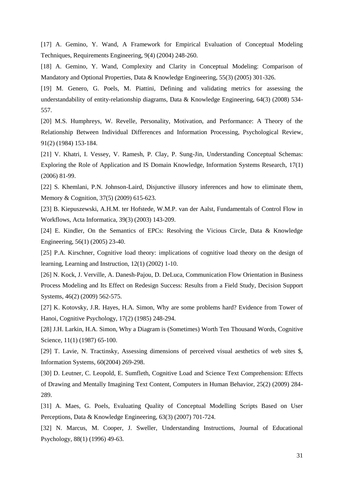<span id="page-31-10"></span>[17] A. Gemino, Y. Wand, A Framework for Empirical Evaluation of Conceptual Modeling Techniques, Requirements Engineering, 9(4) (2004) 248-260.

<span id="page-31-15"></span>[18] A. Gemino, Y. Wand, Complexity and Clarity in Conceptual Modeling: Comparison of Mandatory and Optional Properties, Data & Knowledge Engineering, 55(3) (2005) 301-326.

<span id="page-31-4"></span>[19] M. Genero, G. Poels, M. Piattini, Defining and validating metrics for assessing the understandability of entity-relationship diagrams, Data & Knowledge Engineering, 64(3) (2008) 534- 557.

<span id="page-31-14"></span>[20] M.S. Humphreys, W. Revelle, Personality, Motivation, and Performance: A Theory of the Relationship Between Individual Differences and Information Processing, Psychological Review, 91(2) (1984) 153-184.

<span id="page-31-11"></span>[21] V. Khatri, I. Vessey, V. Ramesh, P. Clay, P. Sung-Jin, Understanding Conceptual Schemas: Exploring the Role of Application and IS Domain Knowledge, Information Systems Research, 17(1) (2006) 81-99.

<span id="page-31-3"></span>[22] S. Khemlani, P.N. Johnson-Laird, Disjunctive illusory inferences and how to eliminate them, Memory & Cognition, 37(5) (2009) 615-623.

<span id="page-31-12"></span>[23] B. Kiepuszewski, A.H.M. ter Hofstede, W.M.P. van der Aalst, Fundamentals of Control Flow in Workflows, Acta Informatica, 39(3) (2003) 143-209.

<span id="page-31-1"></span>[24] E. Kindler, On the Semantics of EPCs: Resolving the Vicious Circle, Data & Knowledge Engineering, 56(1) (2005) 23-40.

<span id="page-31-6"></span>[25] P.A. Kirschner, Cognitive load theory: implications of cognitive load theory on the design of learning, Learning and Instruction, 12(1) (2002) 1-10.

<span id="page-31-0"></span>[26] N. Kock, J. Verville, A. Danesh-Pajou, D. DeLuca, Communication Flow Orientation in Business Process Modeling and Its Effect on Redesign Success: Results from a Field Study, Decision Support Systems, 46(2) (2009) 562-575.

<span id="page-31-7"></span>[27] K. Kotovsky, J.R. Hayes, H.A. Simon, Why are some problems hard? Evidence from Tower of Hanoi, Cognitive Psychology, 17(2) (1985) 248-294.

<span id="page-31-2"></span>[28] J.H. Larkin, H.A. Simon, Why a Diagram is (Sometimes) Worth Ten Thousand Words, Cognitive Science, 11(1) (1987) 65-100.

<span id="page-31-8"></span>[29] T. Lavie, N. Tractinsky, Assessing dimensions of perceived visual aesthetics of web sites \$, Information Systems, 60(2004) 269-298.

<span id="page-31-9"></span>[30] D. Leutner, C. Leopold, E. Sumfleth, Cognitive Load and Science Text Comprehension: Effects of Drawing and Mentally Imagining Text Content, Computers in Human Behavior, 25(2) (2009) 284- 289.

<span id="page-31-5"></span>[31] A. Maes, G. Poels, Evaluating Quality of Conceptual Modelling Scripts Based on User Perceptions, Data & Knowledge Engineering, 63(3) (2007) 701-724.

<span id="page-31-13"></span>[32] N. Marcus, M. Cooper, J. Sweller, Understanding Instructions, Journal of Educational Psychology, 88(1) (1996) 49-63.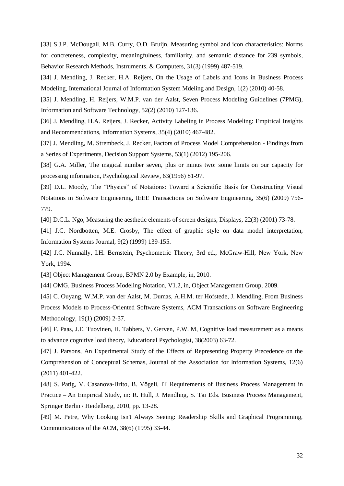<span id="page-32-8"></span>[33] S.J.P. McDougall, M.B. Curry, O.D. Bruijn, Measuring symbol and icon characteristics: Norms for concreteness, complexity, meaningfulness, familiarity, and semantic distance for 239 symbols, Behavior Research Methods, Instruments, & Computers, 31(3) (1999) 487-519.

<span id="page-32-9"></span>[34] J. Mendling, J. Recker, H.A. Reijers, On the Usage of Labels and Icons in Business Process Modeling, International Journal of Information System Mdeling and Design, 1(2) (2010) 40-58.

<span id="page-32-1"></span>[35] J. Mendling, H. Reijers, W.M.P. van der Aalst, Seven Process Modeling Guidelines (7PMG), Information and Software Technology, 52(2) (2010) 127-136.

<span id="page-32-7"></span>[36] J. Mendling, H.A. Reijers, J. Recker, Activity Labeling in Process Modeling: Empirical Insights and Recommendations, Information Systems, 35(4) (2010) 467-482.

<span id="page-32-13"></span>[37] J. Mendling, M. Strembeck, J. Recker, Factors of Process Model Comprehension - Findings from a Series of Experiments, Decision Support Systems, 53(1) (2012) 195-206.

<span id="page-32-6"></span>[38] G.A. Miller, The magical number seven, plus or minus two: some limits on our capacity for processing information, Psychological Review, 63(1956) 81-97.

<span id="page-32-3"></span>[39] D.L. Moody, The "Physics" of Notations: Toward a Scientific Basis for Constructing Visual Notations in Software Engineering, IEEE Transactions on Software Engineering, 35(6) (2009) 756- 779.

<span id="page-32-10"></span>[40] D.C.L. Ngo, Measuring the aesthetic elements of screen designs, Displays, 22(3) (2001) 73-78.

<span id="page-32-2"></span>[41] J.C. Nordbotten, M.E. Crosby, The effect of graphic style on data model interpretation, Information Systems Journal, 9(2) (1999) 139-155.

<span id="page-32-15"></span>[42] J.C. Nunnally, I.H. Bernstein, Psychometric Theory, 3rd ed., McGraw-Hill, New York, New York, 1994.

<span id="page-32-5"></span>[43] Object Management Group, BPMN 2.0 by Example, in, 2010.

<span id="page-32-4"></span>[44] OMG, Business Process Modeling Notation, V1.2, in, Object Management Group, 2009.

<span id="page-32-0"></span>[45] C. Ouyang, W.M.P. van der Aalst, M. Dumas, A.H.M. ter Hofstede, J. Mendling, From Business Process Models to Process-Oriented Software Systems, ACM Transactions on Software Engineering Methodology, 19(1) (2009) 2-37.

<span id="page-32-16"></span>[46] F. Paas, J.E. Tuovinen, H. Tabbers, V. Gerven, P.W. M, Cognitive load measurement as a means to advance cognitive load theory, Educational Psychologist, 38(2003) 63-72.

<span id="page-32-12"></span>[47] J. Parsons, An Experimental Study of the Effects of Representing Property Precedence on the Comprehension of Conceptual Schemas, Journal of the Association for Information Systems, 12(6) (2011) 401-422.

<span id="page-32-14"></span>[48] S. Patig, V. Casanova-Brito, B. Vögeli, IT Requirements of Business Process Management in Practice – An Empirical Study, in: R. Hull, J. Mendling, S. Tai Eds. Business Process Management, Springer Berlin / Heidelberg, 2010, pp. 13-28.

<span id="page-32-11"></span>[49] M. Petre, Why Looking Isn't Always Seeing: Readership Skills and Graphical Programming, Communications of the ACM, 38(6) (1995) 33-44.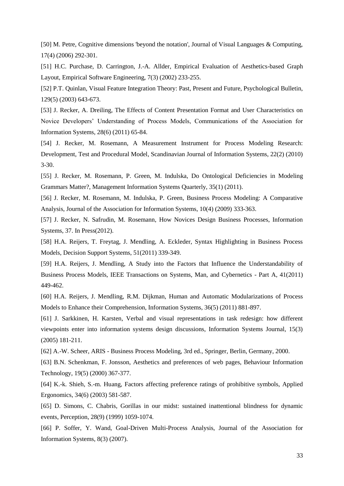<span id="page-33-2"></span>[50] M. Petre, Cognitive dimensions 'beyond the notation', Journal of Visual Languages & Computing, 17(4) (2006) 292-301.

<span id="page-33-8"></span>[51] H.C. Purchase, D. Carrington, J.-A. Allder, Empirical Evaluation of Aesthetics-based Graph Layout, Empirical Software Engineering, 7(3) (2002) 233-255.

<span id="page-33-9"></span>[52] P.T. Quinlan, Visual Feature Integration Theory: Past, Present and Future, Psychological Bulletin, 129(5) (2003) 643-673.

<span id="page-33-6"></span>[53] J. Recker, A. Dreiling, The Effects of Content Presentation Format and User Characteristics on Novice Developers' Understanding of Process Models, Communications of the Association for Information Systems, 28(6) (2011) 65-84.

<span id="page-33-13"></span>[54] J. Recker, M. Rosemann, A Measurement Instrument for Process Modeling Research: Development, Test and Procedural Model, Scandinavian Journal of Information Systems, 22(2) (2010) 3-30.

<span id="page-33-15"></span>[55] J. Recker, M. Rosemann, P. Green, M. Indulska, Do Ontological Deficiencies in Modeling Grammars Matter?, Management Information Systems Quarterly, 35(1) (2011).

<span id="page-33-10"></span>[56] J. Recker, M. Rosemann, M. Indulska, P. Green, Business Process Modeling: A Comparative Analysis, Journal of the Association for Information Systems, 10(4) (2009) 333-363.

<span id="page-33-5"></span>[57] J. Recker, N. Safrudin, M. Rosemann, How Novices Design Business Processes, Information Systems, 37. In Press(2012).

<span id="page-33-4"></span>[58] H.A. Reijers, T. Freytag, J. Mendling, A. Eckleder, Syntax Highlighting in Business Process Models, Decision Support Systems, 51(2011) 339-349.

<span id="page-33-11"></span>[59] H.A. Reijers, J. Mendling, A Study into the Factors that Influence the Understandability of Business Process Models, IEEE Transactions on Systems, Man, and Cybernetics - Part A, 41(2011) 449-462.

<span id="page-33-3"></span>[60] H.A. Reijers, J. Mendling, R.M. Dijkman, Human and Automatic Modularizations of Process Models to Enhance their Comprehension, Information Systems, 36(5) (2011) 881-897.

<span id="page-33-0"></span>[61] J. Sarkkinen, H. Karsten, Verbal and visual representations in task redesign: how different viewpoints enter into information systems design discussions, Information Systems Journal, 15(3) (2005) 181-211.

<span id="page-33-1"></span>[62] A.-W. Scheer, ARIS - Business Process Modeling, 3rd ed., Springer, Berlin, Germany, 2000.

<span id="page-33-7"></span>[63] B.N. Schenkman, F. Jonsson, Aesthetics and preferences of web pages, Behaviour Information Technology, 19(5) (2000) 367-377.

<span id="page-33-16"></span>[64] K.-k. Shieh, S.-m. Huang, Factors affecting preference ratings of prohibitive symbols, Applied Ergonomics, 34(6) (2003) 581-587.

<span id="page-33-14"></span>[65] D. Simons, C. Chabris, Gorillas in our midst: sustained inattentional blindness for dynamic events, Perception, 28(9) (1999) 1059-1074.

<span id="page-33-12"></span>[66] P. Soffer, Y. Wand, Goal-Driven Multi-Process Analysis, Journal of the Association for Information Systems, 8(3) (2007).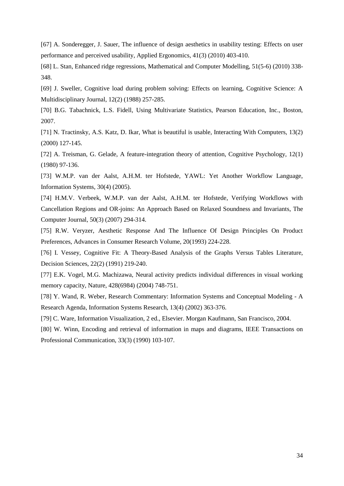<span id="page-34-2"></span>[67] A. Sonderegger, J. Sauer, The influence of design aesthetics in usability testing: Effects on user performance and perceived usability, Applied Ergonomics, 41(3) (2010) 403-410.

<span id="page-34-11"></span>[68] L. Stan, Enhanced ridge regressions, Mathematical and Computer Modelling, 51(5-6) (2010) 338- 348.

<span id="page-34-4"></span>[69] J. Sweller, Cognitive load during problem solving: Effects on learning, Cognitive Science: A Multidisciplinary Journal, 12(2) (1988) 257-285.

<span id="page-34-10"></span>[70] B.G. Tabachnick, L.S. Fidell, Using Multivariate Statistics, Pearson Education, Inc., Boston, 2007.

<span id="page-34-7"></span>[71] N. Tractinsky, A.S. Katz, D. Ikar, What is beautiful is usable, Interacting With Computers, 13(2) (2000) 127-145.

<span id="page-34-6"></span>[72] A. Treisman, G. Gelade, A feature-integration theory of attention, Cognitive Psychology, 12(1) (1980) 97-136.

<span id="page-34-9"></span>[73] W.M.P. van der Aalst, A.H.M. ter Hofstede, YAWL: Yet Another Workflow Language, Information Systems, 30(4) (2005).

<span id="page-34-1"></span>[74] H.M.V. Verbeek, W.M.P. van der Aalst, A.H.M. ter Hofstede, Verifying Workflows with Cancellation Regions and OR-joins: An Approach Based on Relaxed Soundness and Invariants, The Computer Journal, 50(3) (2007) 294-314.

<span id="page-34-8"></span>[75] R.W. Veryzer, Aesthetic Response And The Influence Of Design Principles On Product Preferences, Advances in Consumer Research Volume, 20(1993) 224-228.

<span id="page-34-3"></span>[76] I. Vessey, Cognitive Fit: A Theory-Based Analysis of the Graphs Versus Tables Literature, Decision Sciences, 22(2) (1991) 219-240.

<span id="page-34-13"></span>[77] E.K. Vogel, M.G. Machizawa, Neural activity predicts individual differences in visual working memory capacity, Nature, 428(6984) (2004) 748-751.

<span id="page-34-0"></span>[78] Y. Wand, R. Weber, Research Commentary: Information Systems and Conceptual Modeling - A Research Agenda, Information Systems Research, 13(4) (2002) 363-376.

<span id="page-34-12"></span>[79] C. Ware, Information Visualization, 2 ed., Elsevier. Morgan Kaufmann, San Francisco, 2004.

<span id="page-34-5"></span>[80] W. Winn, Encoding and retrieval of information in maps and diagrams, IEEE Transactions on Professional Communication, 33(3) (1990) 103-107.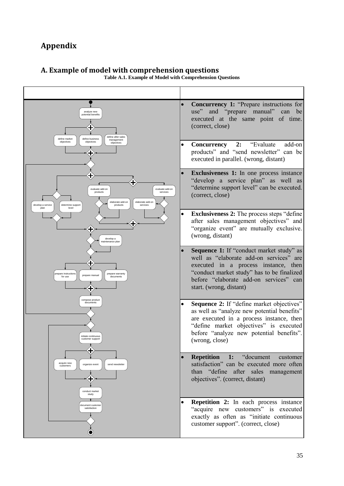## **Appendix**



## **A. Example of model with comprehension questions**

**Table A.1. Example of Model with Comprehension Questions**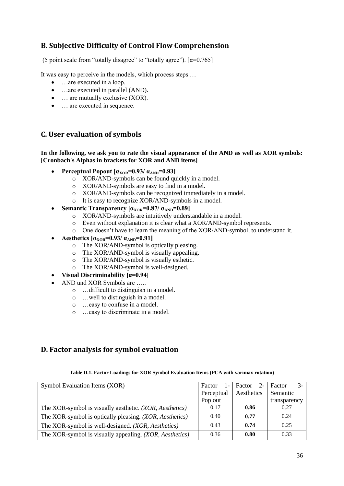## **B. Subjective Difficulty of Control Flow Comprehension**

(5 point scale from "totally disagree" to "totally agree").  $\lceil \alpha = 0.765 \rceil$ 

It was easy to perceive in the models, which process steps …

- ...are executed in a loop.
- …are executed in parallel (AND).
- ... are mutually exclusive (XOR).
- ... are executed in sequence.

## **C. User evaluation of symbols**

### **In the following, we ask you to rate the visual appearance of the AND as well as XOR symbols: [Cronbach's Alphas in brackets for XOR and AND items]**

- **•** Perceptual Popout  $\alpha_{XOR} = 0.93/\alpha_{AND} = 0.93$ ]
	- o XOR/AND-symbols can be found quickly in a model.
	- o XOR/AND-symbols are easy to find in a model.
	- o XOR/AND-symbols can be recognized immediately in a model.
	- o It is easy to recognize XOR/AND-symbols in a model.
- **Semantic Transparency**  $\left[\alpha_{XOR} = 0.87/\alpha_{AND} = 0.89\right]$ 
	- o XOR/AND-symbols are intuitively understandable in a model.
	- o Even without explanation it is clear what a XOR/AND-symbol represents.
	- o One doesn't have to learn the meaning of the XOR/AND-symbol, to understand it.
- **Aesthetics**  $\left[\alpha_{\text{XOR}}=0.93/\alpha_{\text{AND}}=0.91\right]$ 
	- o The XOR/AND-symbol is optically pleasing.
	- o The XOR/AND-symbol is visually appealing.
	- o The XOR/AND-symbol is visually esthetic.
	- o The XOR/AND-symbol is well-designed.
- **Visual Discriminability [α=0.94]**
- AND und XOR Symbols are …..
	- o …difficult to distinguish in a model.
	- o …well to distinguish in a model.
	- o …easy to confuse in a model.
	- o …easy to discriminate in a model.

## **D. Factor analysis for symbol evaluation**

#### **Table D.1. Factor Loadings for XOR Symbol Evaluation Items (PCA with varimax rotation)**

| Symbol Evaluation Items (XOR)                           | Factor 1-  | Factor 2-  | Factor       |
|---------------------------------------------------------|------------|------------|--------------|
|                                                         | Perceptual | Aesthetics | Semantic     |
|                                                         | Pop out    |            | transparency |
| The XOR-symbol is visually aesthetic. (XOR, Aesthetics) | 0.17       | 0.86       | 0.27         |
| The XOR-symbol is optically pleasing. (XOR, Aesthetics) | 0.40       | 0.77       | 0.24         |
| The XOR-symbol is well-designed. (XOR, Aesthetics)      | 0.43       | 0.74       | 0.25         |
| The XOR-symbol is visually appealing. (XOR, Aesthetics) | 0.36       | 0.80       | 0.33         |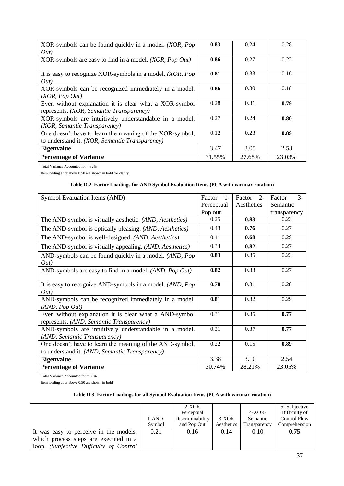| XOR-symbols can be found quickly in a model. (XOR, Pop    | 0.83   | 0.24   | 0.28   |
|-----------------------------------------------------------|--------|--------|--------|
| Out)                                                      |        |        |        |
| XOR-symbols are easy to find in a model. (XOR, Pop Out)   | 0.86   | 0.27   | 0.22   |
|                                                           |        |        |        |
| It is easy to recognize XOR-symbols in a model. (XOR, Pop | 0.81   | 0.33   | 0.16   |
| Out)                                                      |        |        |        |
| XOR-symbols can be recognized immediately in a model.     | 0.86   | 0.30   | 0.18   |
| (XOR, Pop Out)                                            |        |        |        |
| Even without explanation it is clear what a XOR-symbol    | 0.28   | 0.31   | 0.79   |
| represents. (XOR, Semantic Transparency)                  |        |        |        |
| XOR-symbols are intuitively understandable in a model.    | 0.27   | 0.24   | 0.80   |
| (XOR, Semantic Transparency)                              |        |        |        |
| One doesn't have to learn the meaning of the XOR-symbol,  | 0.12   | 0.23   | 0.89   |
| to understand it. (XOR, Semantic Transparency)            |        |        |        |
| <b>Eigenvalue</b>                                         | 3.47   | 3.05   | 2.53   |
| <b>Percentage of Variance</b>                             | 31.55% | 27.68% | 23.03% |

Total Variance Accounted for = 82%

Item loading at or above 0.50 are shown in bold for clarity

#### **Table D.2. Factor Loadings for AND Symbol Evaluation Items (PCA with varimax rotation)**

| Symbol Evaluation Items (AND)                                                                      | $1 -$<br>Factor | $2 -$<br>Factor | $3 -$<br>Factor |
|----------------------------------------------------------------------------------------------------|-----------------|-----------------|-----------------|
|                                                                                                    | Perceptual      | Aesthetics      | Semantic        |
|                                                                                                    | Pop out         |                 | transparency    |
| The AND-symbol is visually aesthetic. (AND, Aesthetics)                                            | 0.25            | 0.83            | 0.23            |
| The AND-symbol is optically pleasing. (AND, Aesthetics)                                            | 0.43            | 0.76            | 0.27            |
| The AND-symbol is well-designed. (AND, Aesthetics)                                                 | 0.41            | 0.68            | 0.29            |
| The AND-symbol is visually appealing. (AND, Aesthetics)                                            | 0.34            | 0.82            | 0.27            |
| AND-symbols can be found quickly in a model. (AND, Pop<br>Out)                                     | 0.83            | 0.35            | 0.23            |
| AND-symbols are easy to find in a model. (AND, Pop Out)                                            | 0.82            | 0.33            | 0.27            |
| It is easy to recognize AND-symbols in a model. (AND, Pop<br>Out)                                  | 0.78            | 0.31            | 0.28            |
| AND-symbols can be recognized immediately in a model.<br>(AND, Pop Out)                            | 0.81            | 0.32            | 0.29            |
| Even without explanation it is clear what a AND-symbol<br>represents. (AND, Semantic Transparency) | 0.31            | 0.35            | 0.77            |
| AND-symbols are intuitively understandable in a model.<br>(AND, Semantic Transparency)             | 0.31            | 0.37            | 0.77            |
| One doesn't have to learn the meaning of the AND-symbol,                                           | 0.22            | 0.15            | 0.89            |
| to understand it. (AND, Semantic Transparency)                                                     |                 |                 |                 |
| Eigenvalue                                                                                         | 3.38            | 3.10            | 2.54            |
| <b>Percentage of Variance</b>                                                                      | 30.74%          | 28.21%          | 23.05%          |

Total Variance Accounted for = 82%.

Item loading at or above 0.50 are shown in bold.

#### **Table D.3. Factor Loadings for all Symbol Evaluation Items (PCA with varimax rotation)**

|                                         |          | $2-XOR$          |            |              | 5- Subjective       |
|-----------------------------------------|----------|------------------|------------|--------------|---------------------|
|                                         |          | Perceptual       |            | $4-XOR-$     | Difficulty of       |
|                                         | $1-AND-$ | Discriminability | $3-XOR$    | Semantic     | <b>Control Flow</b> |
|                                         | Symbol   | and Pop Out      | Aesthetics | Transparency | Comprehension       |
| It was easy to perceive in the models,  | 0.21     | 0.16             | 0.14       | 0.10         | 0.75                |
| which process steps are executed in a   |          |                  |            |              |                     |
| loop. (Subjective Difficulty of Control |          |                  |            |              |                     |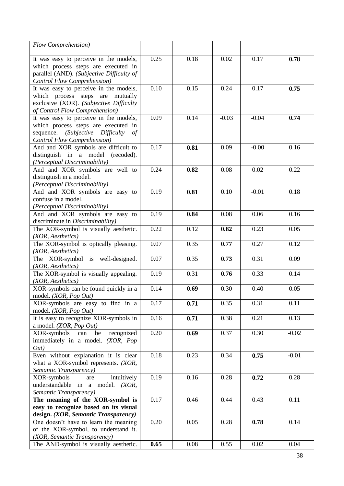| Flow Comprehension)                                                                                                                                               |      |      |         |         |         |
|-------------------------------------------------------------------------------------------------------------------------------------------------------------------|------|------|---------|---------|---------|
| It was easy to perceive in the models,<br>which process steps are executed in<br>parallel (AND). (Subjective Difficulty of<br><b>Control Flow Comprehension</b> ) | 0.25 | 0.18 | 0.02    | 0.17    | 0.78    |
| It was easy to perceive in the models,<br>which process steps are<br>mutually<br>exclusive (XOR). (Subjective Difficulty<br>of Control Flow Comprehension)        | 0.10 | 0.15 | 0.24    | 0.17    | 0.75    |
| It was easy to perceive in the models,<br>which process steps are executed in<br>sequence. (Subjective Difficulty<br>of<br>Control Flow Comprehension)            | 0.09 | 0.14 | $-0.03$ | $-0.04$ | 0.74    |
| And and XOR symbols are difficult to<br>distinguish in a model<br>(recoded).<br>(Perceptual Discriminability)                                                     | 0.17 | 0.81 | 0.09    | $-0.00$ | 0.16    |
| And and XOR symbols are well to<br>distinguish in a model.<br>(Perceptual Discriminability)                                                                       | 0.24 | 0.82 | 0.08    | 0.02    | 0.22    |
| And and XOR symbols are easy to<br>confuse in a model.<br>(Perceptual Discriminability)                                                                           | 0.19 | 0.81 | 0.10    | $-0.01$ | 0.18    |
| And and XOR symbols are easy to<br>discriminate in <i>Discriminability</i> )                                                                                      | 0.19 | 0.84 | 0.08    | 0.06    | 0.16    |
| The XOR-symbol is visually aesthetic.<br>(XOR, Aesthetics)                                                                                                        | 0.22 | 0.12 | 0.82    | 0.23    | 0.05    |
| The XOR-symbol is optically pleasing.<br>(XOR, Aesthetics)                                                                                                        | 0.07 | 0.35 | 0.77    | 0.27    | 0.12    |
| The XOR-symbol is well-designed.<br>(XOR, Aesthetics)                                                                                                             | 0.07 | 0.35 | 0.73    | 0.31    | 0.09    |
| The XOR-symbol is visually appealing.<br>(XOR, Aesthetics)                                                                                                        | 0.19 | 0.31 | 0.76    | 0.33    | 0.14    |
| XOR-symbols can be found quickly in a<br>model. (XOR, Pop Out)                                                                                                    | 0.14 | 0.69 | 0.30    | 0.40    | 0.05    |
| XOR-symbols are easy to find in a<br>model. (XOR, Pop Out)                                                                                                        | 0.17 | 0.71 | 0.35    | 0.31    | 0.11    |
| It is easy to recognize XOR-symbols in<br>a model. (XOR, Pop Out)                                                                                                 | 0.16 | 0.71 | 0.38    | 0.21    | 0.13    |
| XOR-symbols<br>recognized<br>can<br>be<br>immediately in a model. (XOR, Pop<br>Out)                                                                               | 0.20 | 0.69 | 0.37    | 0.30    | $-0.02$ |
| Even without explanation it is clear<br>what a XOR-symbol represents. (XOR,<br>Semantic Transparency)                                                             | 0.18 | 0.23 | 0.34    | 0.75    | $-0.01$ |
| intuitively<br>XOR-symbols<br>are<br>understandable in a<br>model.<br>(XOR,<br>Semantic Transparency)                                                             | 0.19 | 0.16 | 0.28    | 0.72    | 0.28    |
| The meaning of the XOR-symbol is<br>easy to recognize based on its visual<br>design. (XOR, Semantic Transparency)                                                 | 0.17 | 0.46 | 0.44    | 0.43    | 0.11    |
| One doesn't have to learn the meaning<br>of the XOR-symbol, to understand it.<br>(XOR, Semantic Transparency)                                                     | 0.20 | 0.05 | 0.28    | 0.78    | 0.14    |
| The AND-symbol is visually aesthetic.                                                                                                                             | 0.65 | 0.08 | 0.55    | 0.02    | 0.04    |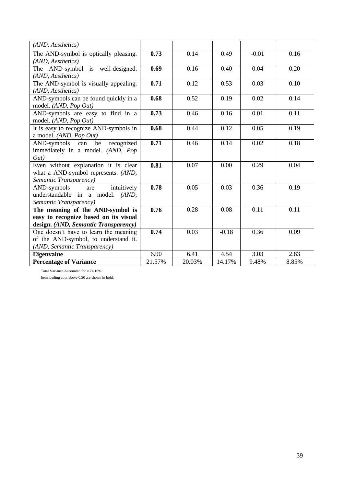| (AND, Aesthetics)                                                                                     |        |        |         |         |       |
|-------------------------------------------------------------------------------------------------------|--------|--------|---------|---------|-------|
| The AND-symbol is optically pleasing.<br>(AND, Aesthetics)                                            | 0.73   | 0.14   | 0.49    | $-0.01$ | 0.16  |
| The AND-symbol is well-designed.<br>(AND, Aesthetics)                                                 | 0.69   | 0.16   | 0.40    | 0.04    | 0.20  |
| The AND-symbol is visually appealing.<br>(AND, Aesthetics)                                            | 0.71   | 0.12   | 0.53    | 0.03    | 0.10  |
| AND-symbols can be found quickly in a<br>model. (AND, Pop Out)                                        | 0.68   | 0.52   | 0.19    | 0.02    | 0.14  |
| AND-symbols are easy to find in a<br>model. (AND, Pop Out)                                            | 0.73   | 0.46   | 0.16    | 0.01    | 0.11  |
| It is easy to recognize AND-symbols in<br>a model. (AND, Pop Out)                                     | 0.68   | 0.44   | 0.12    | 0.05    | 0.19  |
| AND-symbols can<br>recognized<br>be<br>immediately in a model. (AND, Pop<br>Out)                      | 0.71   | 0.46   | 0.14    | 0.02    | 0.18  |
| Even without explanation it is clear<br>what a AND-symbol represents. (AND,<br>Semantic Transparency) | 0.81   | 0.07   | 0.00    | 0.29    | 0.04  |
| intuitively<br>AND-symbols<br>are<br>understandable in a model. (AND,<br>Semantic Transparency)       | 0.78   | 0.05   | 0.03    | 0.36    | 0.19  |
| The meaning of the AND-symbol is                                                                      | 0.76   | 0.28   | 0.08    | 0.11    | 0.11  |
| easy to recognize based on its visual<br>design. (AND, Semantic Transparency)                         |        |        |         |         |       |
| One doesn't have to learn the meaning                                                                 | 0.74   | 0.03   | $-0.18$ | 0.36    | 0.09  |
| of the AND-symbol, to understand it.                                                                  |        |        |         |         |       |
| (AND, Semantic Transparency)                                                                          |        |        |         |         |       |
| <b>Eigenvalue</b>                                                                                     | 6.90   | 6.41   | 4.54    | 3.03    | 2.83  |
| <b>Percentage of Variance</b>                                                                         | 21.57% | 20.03% | 14.17%  | 9.48%   | 8.85% |

Total Variance Accounted for = 74.10%.

Item loading at or above 0.50 are shown in bold.